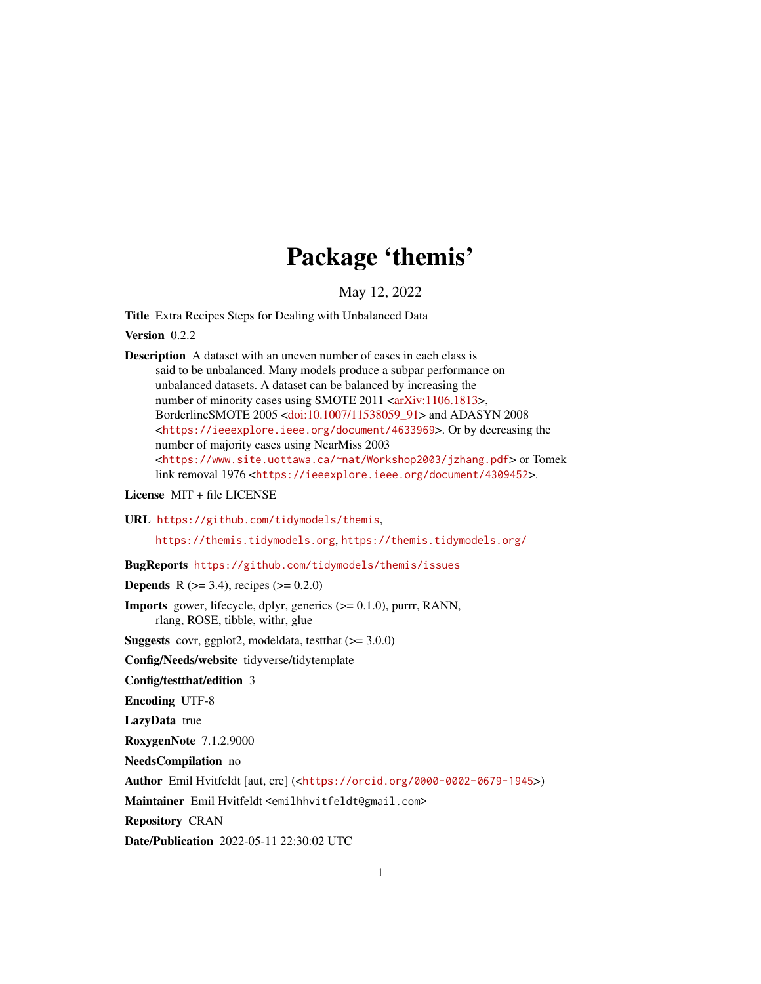# Package 'themis'

May 12, 2022

<span id="page-0-0"></span>Title Extra Recipes Steps for Dealing with Unbalanced Data

Version 0.2.2

Description A dataset with an uneven number of cases in each class is said to be unbalanced. Many models produce a subpar performance on unbalanced datasets. A dataset can be balanced by increasing the number of minority cases using SMOTE 2011 [<arXiv:1106.1813>](https://arxiv.org/abs/1106.1813), BorderlineSMOTE 2005 [<doi:10.1007/11538059\\_91>](https://doi.org/10.1007/11538059_91) and ADASYN 2008 <<https://ieeexplore.ieee.org/document/4633969>>. Or by decreasing the number of majority cases using NearMiss 2003 <<https://www.site.uottawa.ca/~nat/Workshop2003/jzhang.pdf>> or Tomek link removal 1976 <<https://ieeexplore.ieee.org/document/4309452>>.

License MIT + file LICENSE

URL <https://github.com/tidymodels/themis>,

<https://themis.tidymodels.org>, <https://themis.tidymodels.org/>

BugReports <https://github.com/tidymodels/themis/issues>

**Depends** R ( $>= 3.4$ ), recipes ( $>= 0.2.0$ )

Imports gower, lifecycle, dplyr, generics (>= 0.1.0), purrr, RANN, rlang, ROSE, tibble, withr, glue

**Suggests** covr, ggplot2, modeldata, test that  $(>= 3.0.0)$ 

Config/Needs/website tidyverse/tidytemplate

Config/testthat/edition 3

Encoding UTF-8

LazyData true

RoxygenNote 7.1.2.9000

NeedsCompilation no

Author Emil Hvitfeldt [aut, cre] (<<https://orcid.org/0000-0002-0679-1945>>)

Maintainer Emil Hvitfeldt <emilhhvitfeldt@gmail.com>

Repository CRAN

Date/Publication 2022-05-11 22:30:02 UTC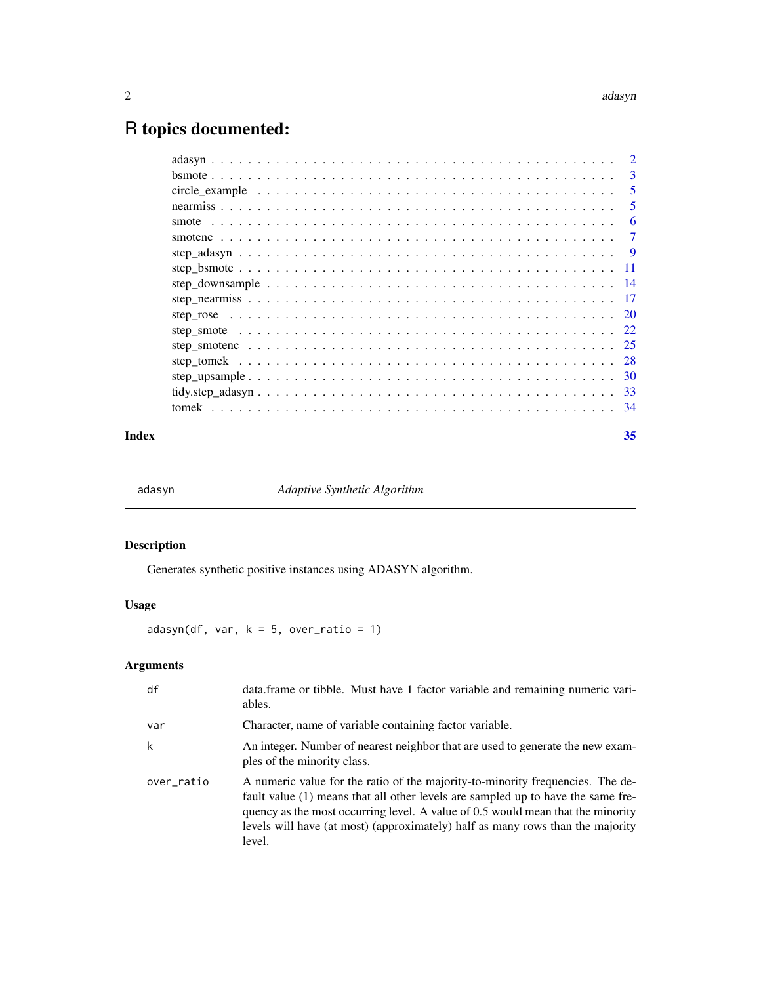# <span id="page-1-0"></span>R topics documented:

|                                                                                                              | $\mathcal{D}_{\mathcal{L}}$ |
|--------------------------------------------------------------------------------------------------------------|-----------------------------|
|                                                                                                              | 3                           |
|                                                                                                              | 5                           |
|                                                                                                              | 5                           |
|                                                                                                              | 6                           |
|                                                                                                              | 7                           |
|                                                                                                              | <b>9</b>                    |
|                                                                                                              | - 11                        |
| step downsample $\ldots \ldots \ldots \ldots \ldots \ldots \ldots \ldots \ldots \ldots \ldots \ldots \ldots$ | - 14                        |
|                                                                                                              | 17                          |
|                                                                                                              | <sup>20</sup>               |
|                                                                                                              |                             |
|                                                                                                              |                             |
|                                                                                                              |                             |
|                                                                                                              |                             |
|                                                                                                              |                             |
|                                                                                                              |                             |
|                                                                                                              |                             |

## **Index** [35](#page-34-0)

<span id="page-1-1"></span>

adasyn *Adaptive Synthetic Algorithm*

# Description

Generates synthetic positive instances using ADASYN algorithm.

# Usage

 $adasyn(df, var, k = 5, over\_ratio = 1)$ 

| df         | data. frame or tibble. Must have 1 factor variable and remaining numeric vari-<br>ables.                                                                                                                                                                                                                                                          |
|------------|---------------------------------------------------------------------------------------------------------------------------------------------------------------------------------------------------------------------------------------------------------------------------------------------------------------------------------------------------|
| var        | Character, name of variable containing factor variable.                                                                                                                                                                                                                                                                                           |
| k          | An integer. Number of nearest neighbor that are used to generate the new exam-<br>ples of the minority class.                                                                                                                                                                                                                                     |
| over_ratio | A numeric value for the ratio of the majority-to-minority frequencies. The de-<br>fault value (1) means that all other levels are sampled up to have the same fre-<br>quency as the most occurring level. A value of 0.5 would mean that the minority<br>levels will have (at most) (approximately) half as many rows than the majority<br>level. |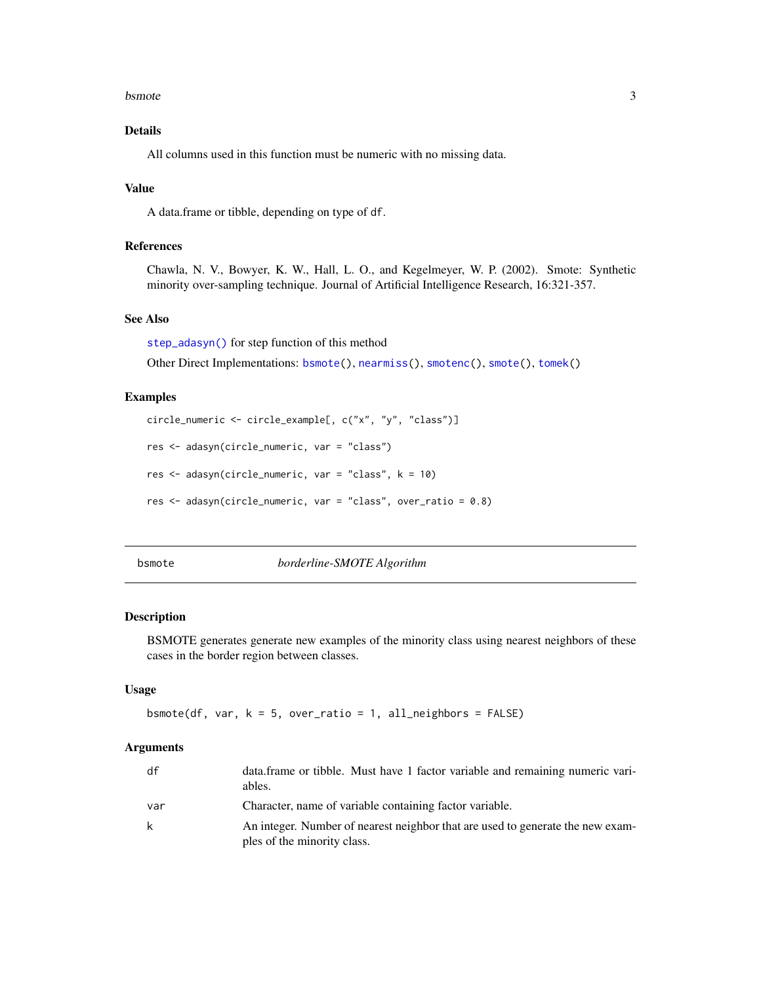#### <span id="page-2-0"></span>bsmote 3

# Details

All columns used in this function must be numeric with no missing data.

# Value

A data.frame or tibble, depending on type of df.

# References

Chawla, N. V., Bowyer, K. W., Hall, L. O., and Kegelmeyer, W. P. (2002). Smote: Synthetic minority over-sampling technique. Journal of Artificial Intelligence Research, 16:321-357.

# See Also

[step\\_adasyn\(\)](#page-8-1) for step function of this method

Other Direct Implementations: [bsmote\(](#page-2-1)), [nearmiss\(](#page-4-1)), [smotenc\(](#page-6-1)), [smote\(](#page-5-1)), [tomek\(](#page-33-1))

#### Examples

```
circle_numeric <- circle_example[, c("x", "y", "class")]
```

```
res <- adasyn(circle_numeric, var = "class")
```
res <- adasyn(circle\_numeric, var = "class", k = 10)

res <- adasyn(circle\_numeric, var = "class", over\_ratio = 0.8)

<span id="page-2-1"></span>

bsmote *borderline-SMOTE Algorithm*

#### Description

BSMOTE generates generate new examples of the minority class using nearest neighbors of these cases in the border region between classes.

# Usage

```
bsmote(df, var, k = 5, over_ratio = 1, all_neighbors = FALSE)
```

| df  | data frame or tibble. Must have 1 factor variable and remaining numeric vari-<br>ables.                       |
|-----|---------------------------------------------------------------------------------------------------------------|
| var | Character, name of variable containing factor variable.                                                       |
| k   | An integer. Number of nearest neighbor that are used to generate the new exam-<br>ples of the minority class. |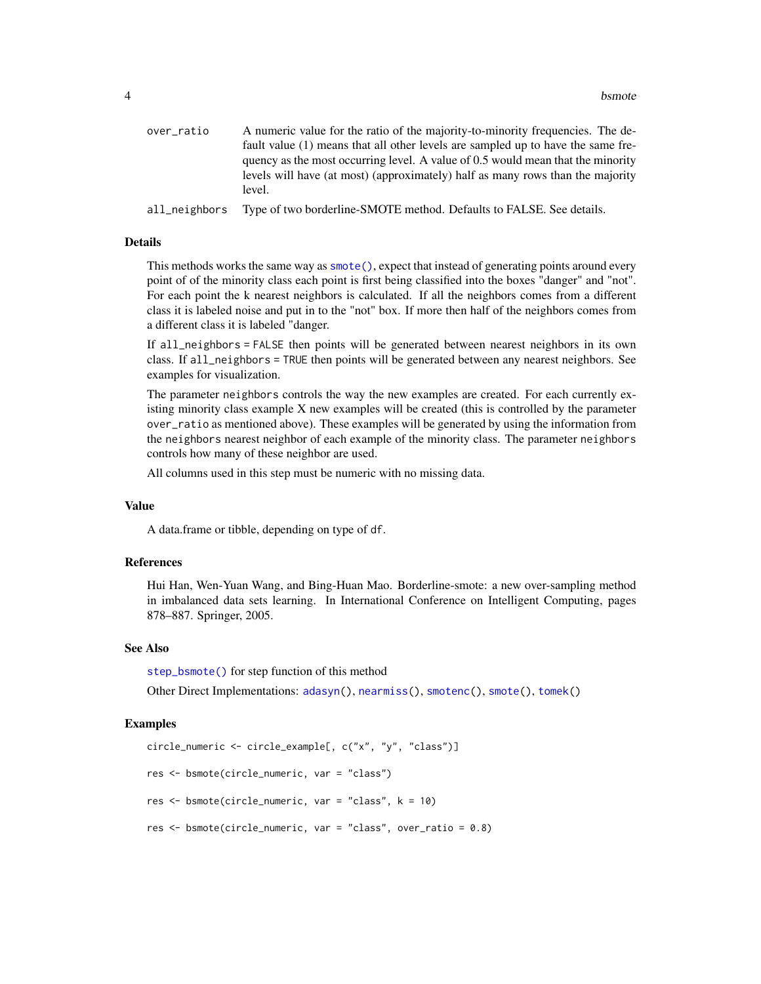<span id="page-3-0"></span>

| over_ratio    | A numeric value for the ratio of the majority-to-minority frequencies. The de-   |
|---------------|----------------------------------------------------------------------------------|
|               | fault value (1) means that all other levels are sampled up to have the same fre- |
|               | quency as the most occurring level. A value of 0.5 would mean that the minority  |
|               | levels will have (at most) (approximately) half as many rows than the majority   |
|               | level.                                                                           |
| all neighbors | Type of two borderline-SMOTE method. Defaults to FALSE. See details.             |

#### Details

This methods works the same way as [smote\(\)](#page-5-1), expect that instead of generating points around every point of of the minority class each point is first being classified into the boxes "danger" and "not". For each point the k nearest neighbors is calculated. If all the neighbors comes from a different class it is labeled noise and put in to the "not" box. If more then half of the neighbors comes from a different class it is labeled "danger.

If all\_neighbors = FALSE then points will be generated between nearest neighbors in its own class. If all\_neighbors = TRUE then points will be generated between any nearest neighbors. See examples for visualization.

The parameter neighbors controls the way the new examples are created. For each currently existing minority class example X new examples will be created (this is controlled by the parameter over\_ratio as mentioned above). These examples will be generated by using the information from the neighbors nearest neighbor of each example of the minority class. The parameter neighbors controls how many of these neighbor are used.

All columns used in this step must be numeric with no missing data.

#### Value

A data.frame or tibble, depending on type of df.

# References

Hui Han, Wen-Yuan Wang, and Bing-Huan Mao. Borderline-smote: a new over-sampling method in imbalanced data sets learning. In International Conference on Intelligent Computing, pages 878–887. Springer, 2005.

#### See Also

[step\\_bsmote\(\)](#page-10-1) for step function of this method

Other Direct Implementations: [adasyn\(](#page-1-1)), [nearmiss\(](#page-4-1)), [smotenc\(](#page-6-1)), [smote\(](#page-5-1)), [tomek\(](#page-33-1))

```
circle_numeric <- circle_example[, c("x", "y", "class")]
res <- bsmote(circle_numeric, var = "class")
res <- bsmote(circle_numeric, var = "class", k = 10)
res <- bsmote(circle_numeric, var = "class", over_ratio = 0.8)
```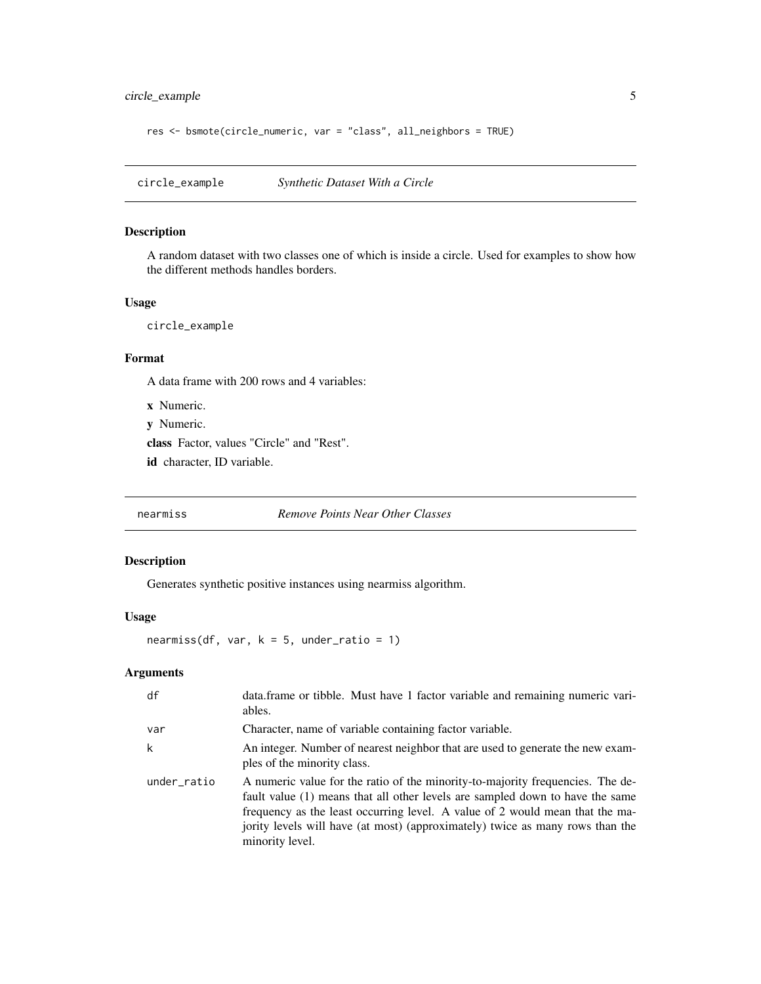<span id="page-4-0"></span>circle\_example 5

```
res <- bsmote(circle_numeric, var = "class", all_neighbors = TRUE)
```
circle\_example *Synthetic Dataset With a Circle*

# Description

A random dataset with two classes one of which is inside a circle. Used for examples to show how the different methods handles borders.

# Usage

circle\_example

# Format

A data frame with 200 rows and 4 variables:

x Numeric.

y Numeric.

class Factor, values "Circle" and "Rest".

id character, ID variable.

<span id="page-4-1"></span>nearmiss *Remove Points Near Other Classes*

# Description

Generates synthetic positive instances using nearmiss algorithm.

#### Usage

nearmiss(df, var,  $k = 5$ , under\_ratio = 1)

| df          | data.frame or tibble. Must have 1 factor variable and remaining numeric vari-<br>ables.                                                                                                                                                                                                                                                             |
|-------------|-----------------------------------------------------------------------------------------------------------------------------------------------------------------------------------------------------------------------------------------------------------------------------------------------------------------------------------------------------|
| var         | Character, name of variable containing factor variable.                                                                                                                                                                                                                                                                                             |
| k           | An integer. Number of nearest neighbor that are used to generate the new exam-<br>ples of the minority class.                                                                                                                                                                                                                                       |
| under_ratio | A numeric value for the ratio of the minority-to-majority frequencies. The de-<br>fault value (1) means that all other levels are sampled down to have the same<br>frequency as the least occurring level. A value of 2 would mean that the ma-<br>jority levels will have (at most) (approximately) twice as many rows than the<br>minority level. |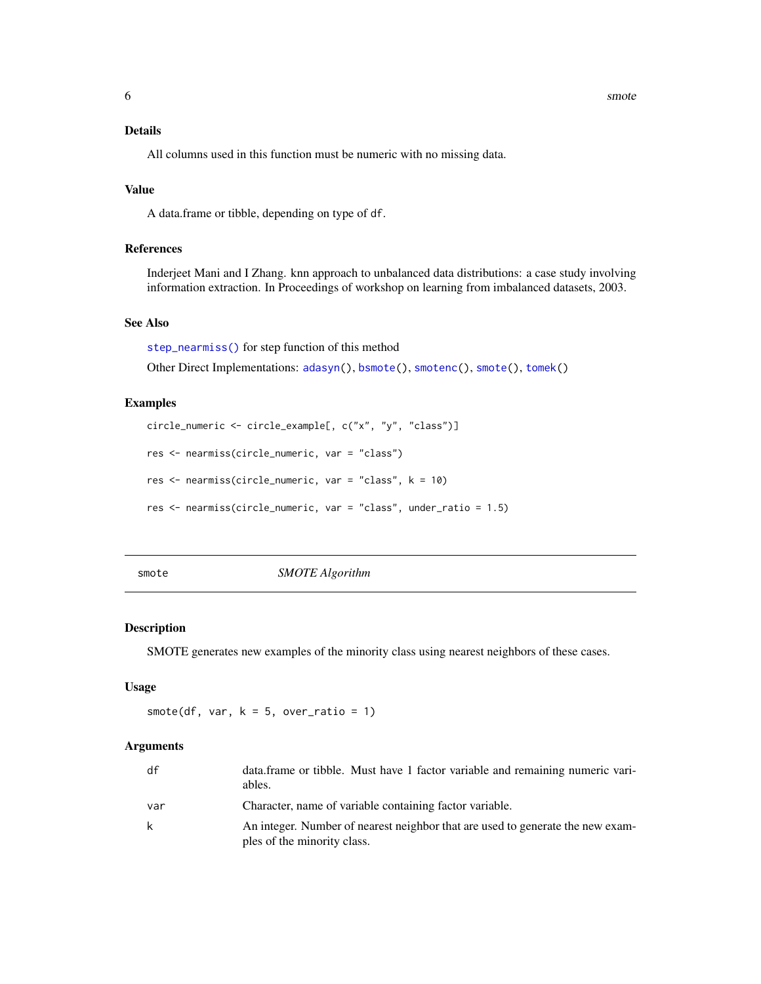#### <span id="page-5-0"></span>**6** smote smoth smoth smoth smoth smoth smoth smoth smoth smoth smoth smoth smoth smoth smoth smoth smoth smoth

# Details

All columns used in this function must be numeric with no missing data.

#### Value

A data.frame or tibble, depending on type of df.

#### References

Inderjeet Mani and I Zhang. knn approach to unbalanced data distributions: a case study involving information extraction. In Proceedings of workshop on learning from imbalanced datasets, 2003.

# See Also

[step\\_nearmiss\(\)](#page-16-1) for step function of this method

Other Direct Implementations: [adasyn\(](#page-1-1)), [bsmote\(](#page-2-1)), [smotenc\(](#page-6-1)), [smote\(](#page-5-1)), [tomek\(](#page-33-1))

# Examples

```
circle_numeric <- circle_example[, c("x", "y", "class")]
res <- nearmiss(circle_numeric, var = "class")
res <- nearmiss(circle_numeric, var = "class", k = 10)
res <- nearmiss(circle_numeric, var = "class", under_ratio = 1.5)
```
<span id="page-5-1"></span>

smote *SMOTE Algorithm*

# Description

SMOTE generates new examples of the minority class using nearest neighbors of these cases.

#### Usage

smote(df, var,  $k = 5$ , over\_ratio = 1)

| df  | data.frame or tibble. Must have 1 factor variable and remaining numeric vari-<br>ables.                       |
|-----|---------------------------------------------------------------------------------------------------------------|
| var | Character, name of variable containing factor variable.                                                       |
| k   | An integer. Number of nearest neighbor that are used to generate the new exam-<br>ples of the minority class. |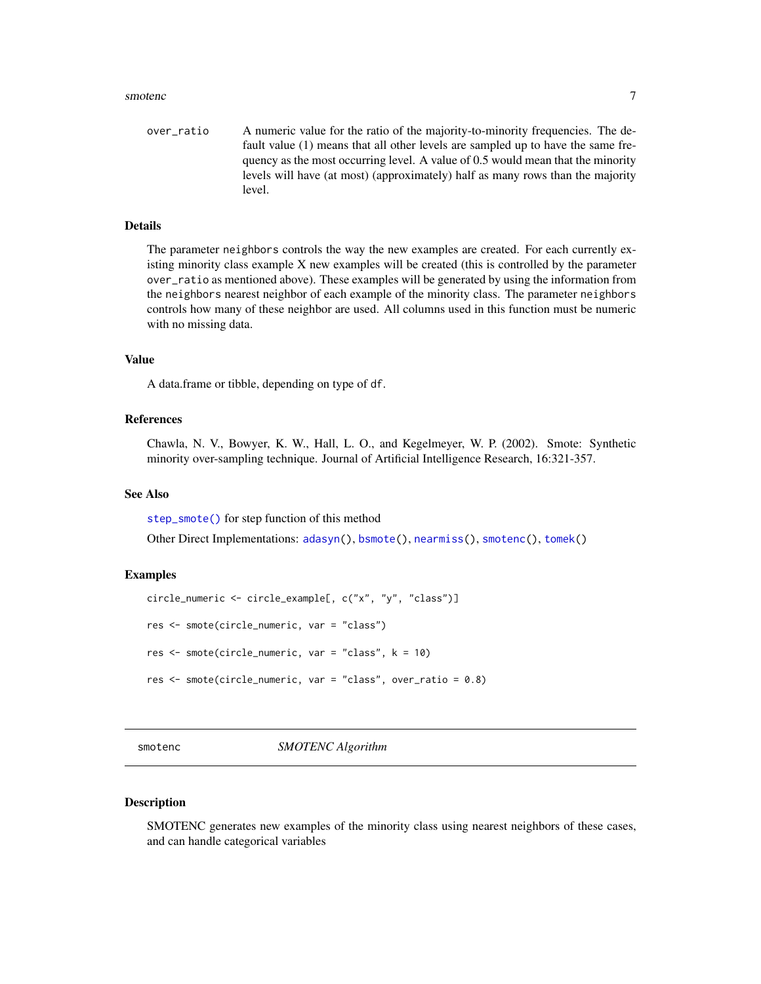#### <span id="page-6-0"></span>smotenc 7

over\_ratio A numeric value for the ratio of the majority-to-minority frequencies. The default value (1) means that all other levels are sampled up to have the same frequency as the most occurring level. A value of 0.5 would mean that the minority levels will have (at most) (approximately) half as many rows than the majority level.

#### Details

The parameter neighbors controls the way the new examples are created. For each currently existing minority class example X new examples will be created (this is controlled by the parameter over\_ratio as mentioned above). These examples will be generated by using the information from the neighbors nearest neighbor of each example of the minority class. The parameter neighbors controls how many of these neighbor are used. All columns used in this function must be numeric with no missing data.

#### Value

A data.frame or tibble, depending on type of df.

#### References

Chawla, N. V., Bowyer, K. W., Hall, L. O., and Kegelmeyer, W. P. (2002). Smote: Synthetic minority over-sampling technique. Journal of Artificial Intelligence Research, 16:321-357.

#### See Also

[step\\_smote\(\)](#page-21-1) for step function of this method

Other Direct Implementations: [adasyn\(](#page-1-1)), [bsmote\(](#page-2-1)), [nearmiss\(](#page-4-1)), [smotenc\(](#page-6-1)), [tomek\(](#page-33-1))

#### Examples

```
circle_numeric <- circle_example[, c("x", "y", "class")]
res <- smote(circle_numeric, var = "class")
res <- smote(circle_numeric, var = "class", k = 10)
res <- smote(circle_numeric, var = "class", over_ratio = 0.8)
```
<span id="page-6-1"></span>smotenc *SMOTENC Algorithm*

#### Description

SMOTENC generates new examples of the minority class using nearest neighbors of these cases, and can handle categorical variables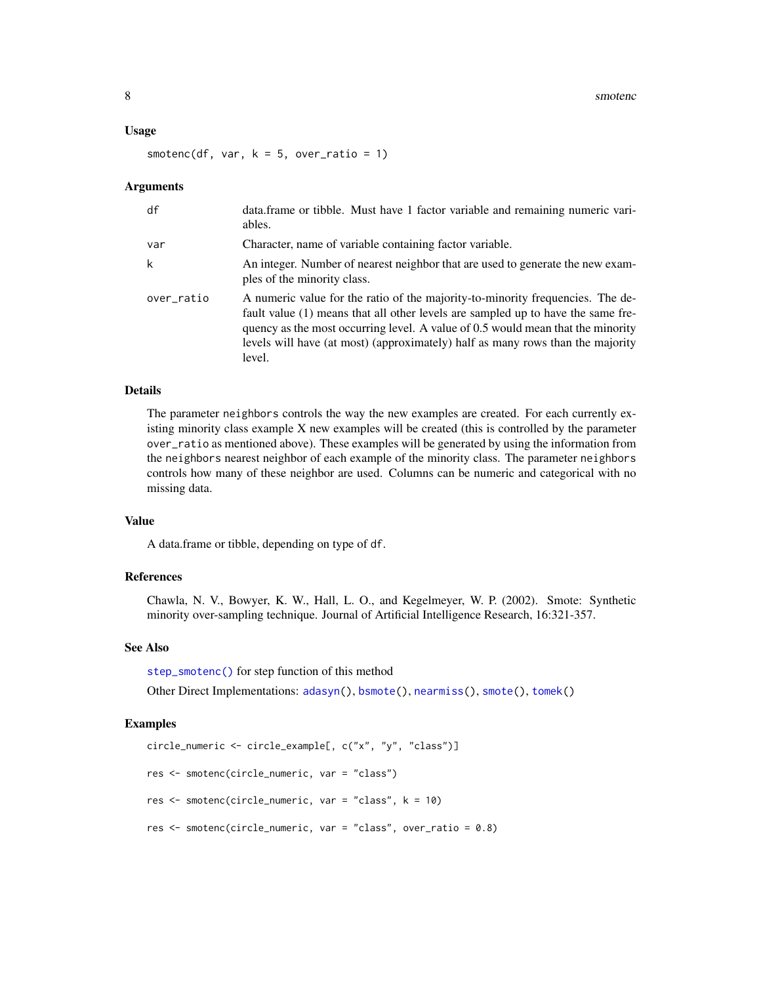#### <span id="page-7-0"></span>Usage

smotenc(df, var,  $k = 5$ , over\_ratio = 1)

#### Arguments

| df         | data.frame or tibble. Must have 1 factor variable and remaining numeric vari-<br>ables.                                                                                                                                                                                                                                                           |
|------------|---------------------------------------------------------------------------------------------------------------------------------------------------------------------------------------------------------------------------------------------------------------------------------------------------------------------------------------------------|
| var        | Character, name of variable containing factor variable.                                                                                                                                                                                                                                                                                           |
| k          | An integer. Number of nearest neighbor that are used to generate the new exam-<br>ples of the minority class.                                                                                                                                                                                                                                     |
| over_ratio | A numeric value for the ratio of the majority-to-minority frequencies. The de-<br>fault value (1) means that all other levels are sampled up to have the same fre-<br>quency as the most occurring level. A value of 0.5 would mean that the minority<br>levels will have (at most) (approximately) half as many rows than the majority<br>level. |

#### Details

The parameter neighbors controls the way the new examples are created. For each currently existing minority class example X new examples will be created (this is controlled by the parameter over\_ratio as mentioned above). These examples will be generated by using the information from the neighbors nearest neighbor of each example of the minority class. The parameter neighbors controls how many of these neighbor are used. Columns can be numeric and categorical with no missing data.

#### Value

A data.frame or tibble, depending on type of df.

#### References

Chawla, N. V., Bowyer, K. W., Hall, L. O., and Kegelmeyer, W. P. (2002). Smote: Synthetic minority over-sampling technique. Journal of Artificial Intelligence Research, 16:321-357.

#### See Also

[step\\_smotenc\(\)](#page-24-1) for step function of this method

Other Direct Implementations: [adasyn\(](#page-1-1)), [bsmote\(](#page-2-1)), [nearmiss\(](#page-4-1)), [smote\(](#page-5-1)), [tomek\(](#page-33-1))

```
circle_numeric <- circle_example[, c("x", "y", "class")]
res <- smotenc(circle_numeric, var = "class")
res <- smotenc(circle_numeric, var = "class", k = 10)
res <- smotenc(circle_numeric, var = "class", over_ratio = 0.8)
```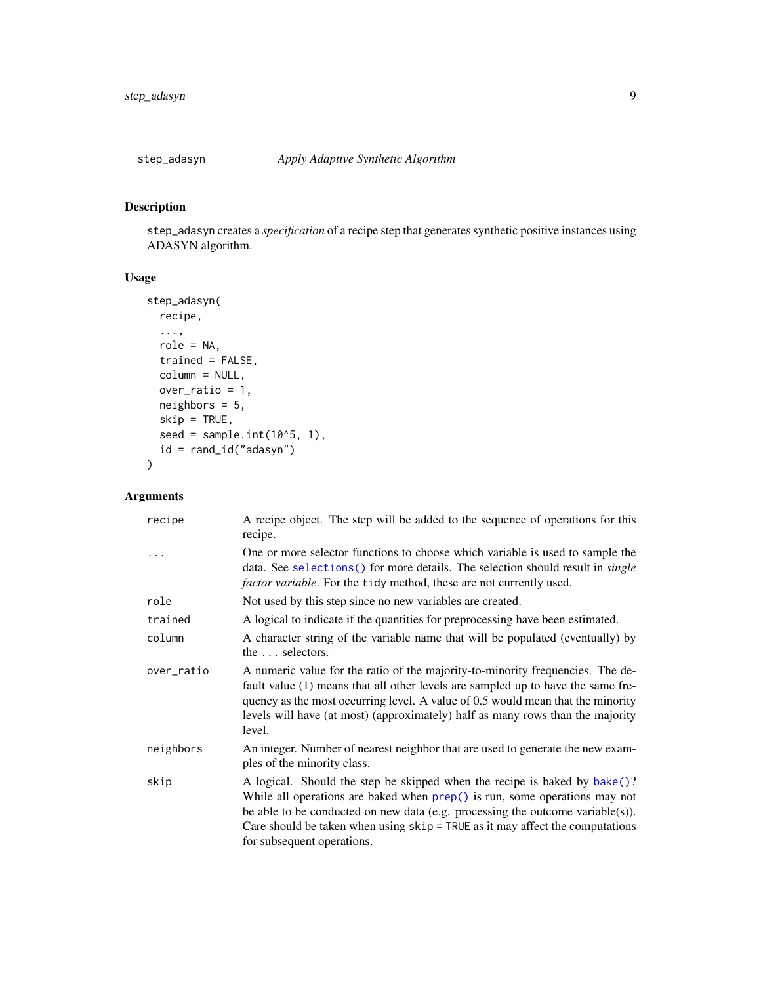<span id="page-8-1"></span><span id="page-8-0"></span>

#### Description

step\_adasyn creates a *specification* of a recipe step that generates synthetic positive instances using ADASYN algorithm.

# Usage

```
step_adasyn(
  recipe,
  ...,
  role = NA,
  trained = FALSE,
  column = NULL,
  over_ratio = 1,
  neighbors = 5,
  skip = TRUE,
  seed = sample.int(10<sup>0</sup>5, 1),id = rand_id("adasyn")
\mathcal{L}
```

| recipe     | A recipe object. The step will be added to the sequence of operations for this<br>recipe.                                                                                                                                                                                                                                                                  |
|------------|------------------------------------------------------------------------------------------------------------------------------------------------------------------------------------------------------------------------------------------------------------------------------------------------------------------------------------------------------------|
| $\cdots$   | One or more selector functions to choose which variable is used to sample the<br>data. See selections () for more details. The selection should result in <i>single</i><br><i>factor variable</i> . For the tidy method, these are not currently used.                                                                                                     |
| role       | Not used by this step since no new variables are created.                                                                                                                                                                                                                                                                                                  |
| trained    | A logical to indicate if the quantities for preprocessing have been estimated.                                                                                                                                                                                                                                                                             |
| column     | A character string of the variable name that will be populated (eventually) by<br>the  selectors.                                                                                                                                                                                                                                                          |
| over_ratio | A numeric value for the ratio of the majority-to-minority frequencies. The de-<br>fault value (1) means that all other levels are sampled up to have the same fre-<br>quency as the most occurring level. A value of 0.5 would mean that the minority<br>levels will have (at most) (approximately) half as many rows than the majority<br>level.          |
| neighbors  | An integer. Number of nearest neighbor that are used to generate the new exam-<br>ples of the minority class.                                                                                                                                                                                                                                              |
| skip       | A logical. Should the step be skipped when the recipe is baked by bake()?<br>While all operations are baked when prep() is run, some operations may not<br>be able to be conducted on new data (e.g. processing the outcome variable(s)).<br>Care should be taken when using $skip =$ TRUE as it may affect the computations<br>for subsequent operations. |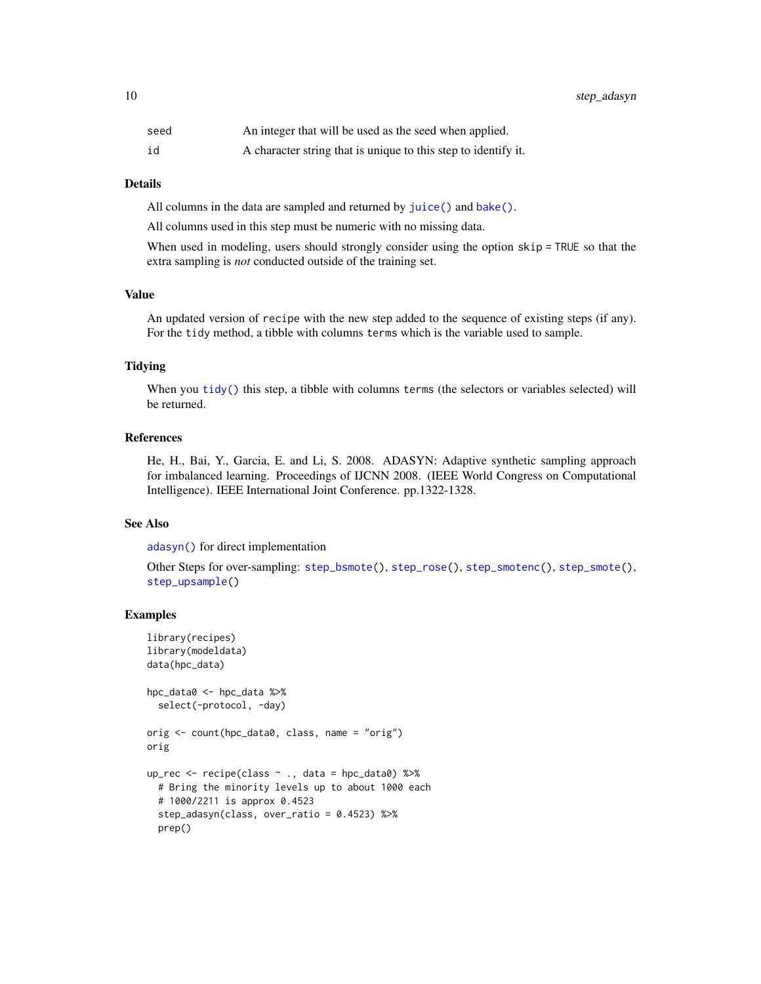<span id="page-9-0"></span>10 step\_adasyn

| seed | An integer that will be used as the seed when applied.         |
|------|----------------------------------------------------------------|
| id   | A character string that is unique to this step to identify it. |

#### Details

All columns in the data are sampled and returned by [juice\(\)](#page-0-0) and [bake\(\)](#page-0-0).

All columns used in this step must be numeric with no missing data.

When used in modeling, users should strongly consider using the option skip = TRUE so that the extra sampling is *not* conducted outside of the training set.

#### Value

An updated version of recipe with the new step added to the sequence of existing steps (if any). For the tidy method, a tibble with columns terms which is the variable used to sample.

#### Tidying

When you [tidy\(\)](#page-32-1) this step, a tibble with columns terms (the selectors or variables selected) will be returned.

# References

He, H., Bai, Y., Garcia, E. and Li, S. 2008. ADASYN: Adaptive synthetic sampling approach for imbalanced learning. Proceedings of IJCNN 2008. (IEEE World Congress on Computational Intelligence). IEEE International Joint Conference. pp.1322-1328.

#### See Also

[adasyn\(\)](#page-1-1) for direct implementation

Other Steps for over-sampling: [step\\_bsmote\(](#page-10-1)), [step\\_rose\(](#page-19-1)), [step\\_smotenc\(](#page-24-1)), [step\\_smote\(](#page-21-1)), [step\\_upsample\(](#page-29-1))

```
library(recipes)
library(modeldata)
data(hpc_data)
hpc_data0 <- hpc_data %>%
 select(-protocol, -day)
orig <- count(hpc_data0, class, name = "orig")
orig
up_rec <- recipe(class ~ ., data = hpc_data0) %>%
 # Bring the minority levels up to about 1000 each
 # 1000/2211 is approx 0.4523
 step_adasyn(class, over_ratio = 0.4523) %>%
 prep()
```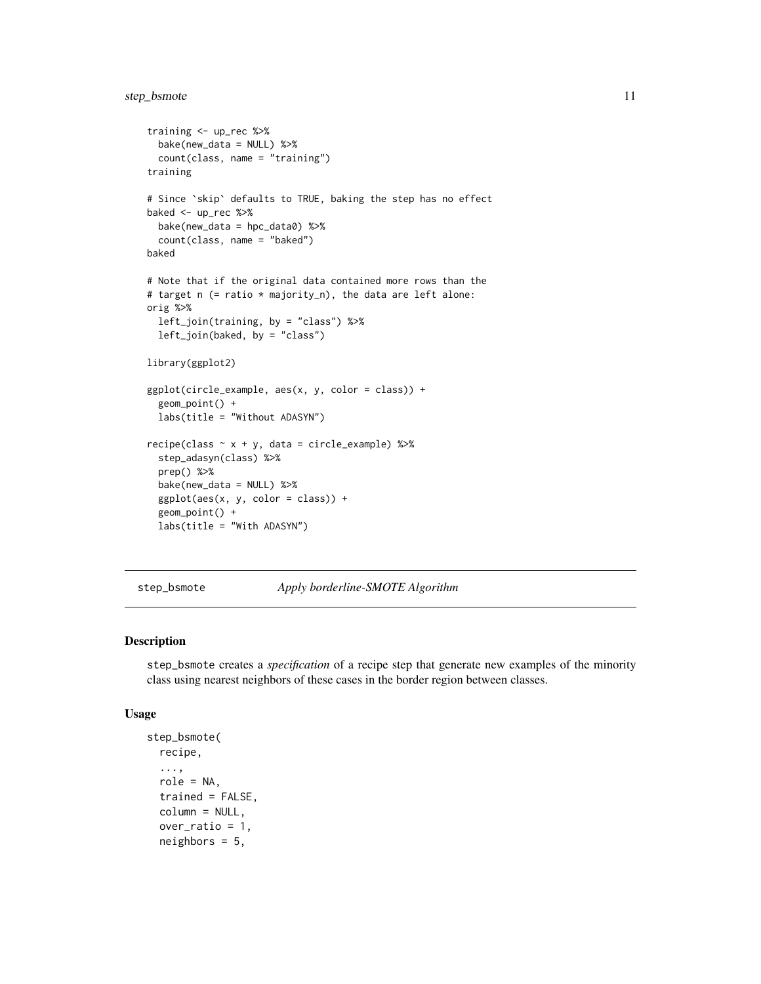# <span id="page-10-0"></span>step\_bsmote 11

```
training <- up_rec %>%
  bake(new_data = NULL) %>%
  count(class, name = "training")
training
# Since `skip` defaults to TRUE, baking the step has no effect
baked <- up_rec %>%
  bake(new_data = hpc_data0) %>%
  count(class, name = "baked")
baked
# Note that if the original data contained more rows than the
# target n (= ratio * majority_n), the data are left alone:
orig %>%
  left_join(training, by = "class") %>%
  left_join(baked, by = "class")
library(ggplot2)
ggplot(circle_example, aes(x, y, color = class)) +
  geom_point() +
  labs(title = "Without ADASYN")
recipe(class ~ x + y, data = circle\_example) %>%
  step_adasyn(class) %>%
  prep() %>%
  bake(new_data = NULL) %>%
  ggplot(aes(x, y, color = class)) +
  geom_point() +
  labs(title = "With ADASYN")
```
<span id="page-10-1"></span>step\_bsmote *Apply borderline-SMOTE Algorithm*

#### Description

step\_bsmote creates a *specification* of a recipe step that generate new examples of the minority class using nearest neighbors of these cases in the border region between classes.

#### Usage

```
step_bsmote(
  recipe,
  ...,
 role = NA,
  trained = FALSE,
  column = NULL,over_ratio = 1,
  neighbors = 5,
```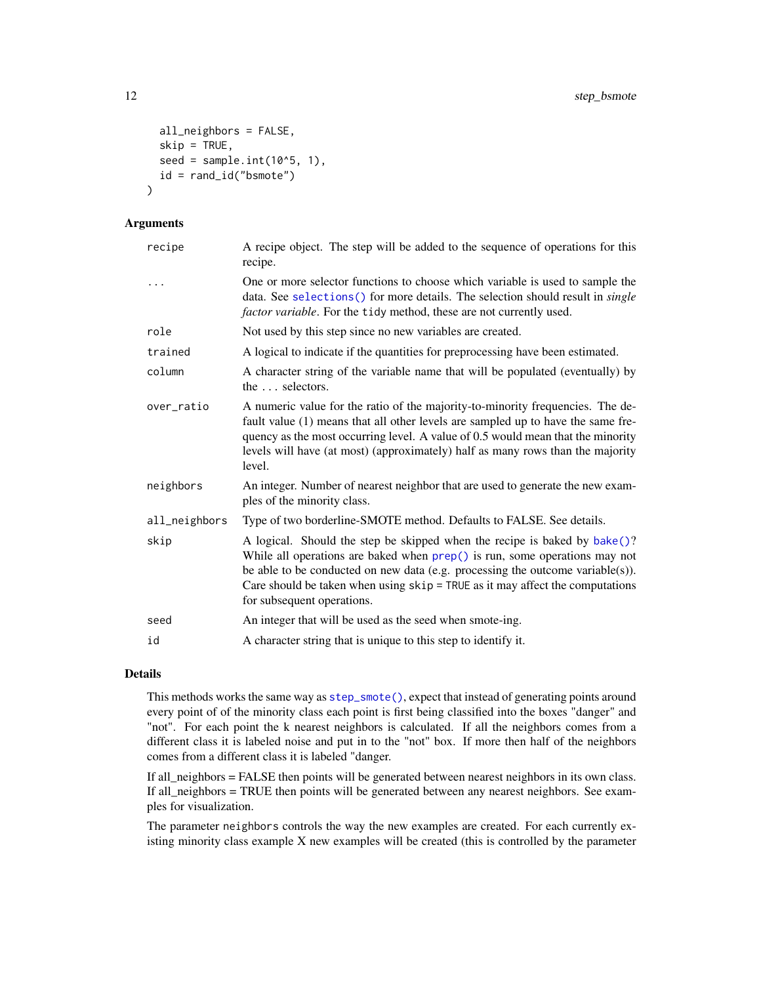```
all_neighbors = FALSE,
  skip = TRUE,
  seed = sample.int(10^5, 1),
  id = rand_id("bsmote")
)
```
#### Arguments

| recipe        | A recipe object. The step will be added to the sequence of operations for this<br>recipe.                                                                                                                                                                                                                                                                      |
|---------------|----------------------------------------------------------------------------------------------------------------------------------------------------------------------------------------------------------------------------------------------------------------------------------------------------------------------------------------------------------------|
|               | One or more selector functions to choose which variable is used to sample the<br>data. See selections() for more details. The selection should result in <i>single</i><br><i>factor variable</i> . For the tidy method, these are not currently used.                                                                                                          |
| role          | Not used by this step since no new variables are created.                                                                                                                                                                                                                                                                                                      |
| trained       | A logical to indicate if the quantities for preprocessing have been estimated.                                                                                                                                                                                                                                                                                 |
| column        | A character string of the variable name that will be populated (eventually) by<br>the  selectors.                                                                                                                                                                                                                                                              |
| over ratio    | A numeric value for the ratio of the majority-to-minority frequencies. The de-<br>fault value (1) means that all other levels are sampled up to have the same fre-<br>quency as the most occurring level. A value of 0.5 would mean that the minority<br>levels will have (at most) (approximately) half as many rows than the majority<br>level.              |
| neighbors     | An integer. Number of nearest neighbor that are used to generate the new exam-<br>ples of the minority class.                                                                                                                                                                                                                                                  |
| all_neighbors | Type of two borderline-SMOTE method. Defaults to FALSE. See details.                                                                                                                                                                                                                                                                                           |
| skip          | A logical. Should the step be skipped when the recipe is baked by bake()?<br>While all operations are baked when prep() is run, some operations may not<br>be able to be conducted on new data (e.g. processing the outcome variable $(s)$ ).<br>Care should be taken when using $skip =$ TRUE as it may affect the computations<br>for subsequent operations. |
| seed          | An integer that will be used as the seed when smote-ing.                                                                                                                                                                                                                                                                                                       |
| id            | A character string that is unique to this step to identify it.                                                                                                                                                                                                                                                                                                 |

# Details

This methods works the same way as [step\\_smote\(\)](#page-21-1), expect that instead of generating points around every point of of the minority class each point is first being classified into the boxes "danger" and "not". For each point the k nearest neighbors is calculated. If all the neighbors comes from a different class it is labeled noise and put in to the "not" box. If more then half of the neighbors comes from a different class it is labeled "danger.

If all\_neighbors = FALSE then points will be generated between nearest neighbors in its own class. If all\_neighbors = TRUE then points will be generated between any nearest neighbors. See examples for visualization.

The parameter neighbors controls the way the new examples are created. For each currently existing minority class example X new examples will be created (this is controlled by the parameter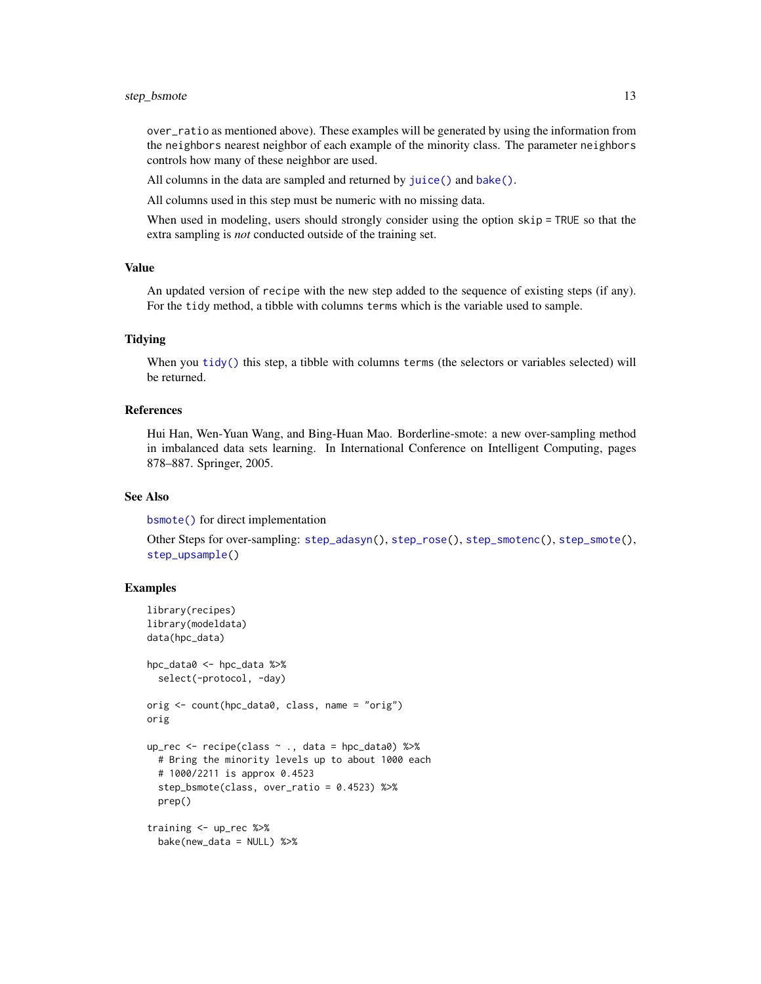<span id="page-12-0"></span>over\_ratio as mentioned above). These examples will be generated by using the information from the neighbors nearest neighbor of each example of the minority class. The parameter neighbors controls how many of these neighbor are used.

All columns in the data are sampled and returned by [juice\(\)](#page-0-0) and [bake\(\)](#page-0-0).

All columns used in this step must be numeric with no missing data.

When used in modeling, users should strongly consider using the option skip = TRUE so that the extra sampling is *not* conducted outside of the training set.

#### Value

An updated version of recipe with the new step added to the sequence of existing steps (if any). For the tidy method, a tibble with columns terms which is the variable used to sample.

#### Tidying

When you [tidy\(\)](#page-32-1) this step, a tibble with columns terms (the selectors or variables selected) will be returned.

#### References

Hui Han, Wen-Yuan Wang, and Bing-Huan Mao. Borderline-smote: a new over-sampling method in imbalanced data sets learning. In International Conference on Intelligent Computing, pages 878–887. Springer, 2005.

#### See Also

[bsmote\(\)](#page-2-1) for direct implementation

Other Steps for over-sampling: [step\\_adasyn\(](#page-8-1)), [step\\_rose\(](#page-19-1)), [step\\_smotenc\(](#page-24-1)), [step\\_smote\(](#page-21-1)), [step\\_upsample\(](#page-29-1))

```
library(recipes)
library(modeldata)
data(hpc_data)
hpc_data0 <- hpc_data %>%
 select(-protocol, -day)
orig <- count(hpc_data0, class, name = "orig")
orig
up_rec <- recipe(class ~ ., data = hpc_data0) %>%
 # Bring the minority levels up to about 1000 each
 # 1000/2211 is approx 0.4523
 step_bsmote(class, over_ratio = 0.4523) %>%
 prep()
training <- up_rec %>%
 bake(new_data = NULL) %>%
```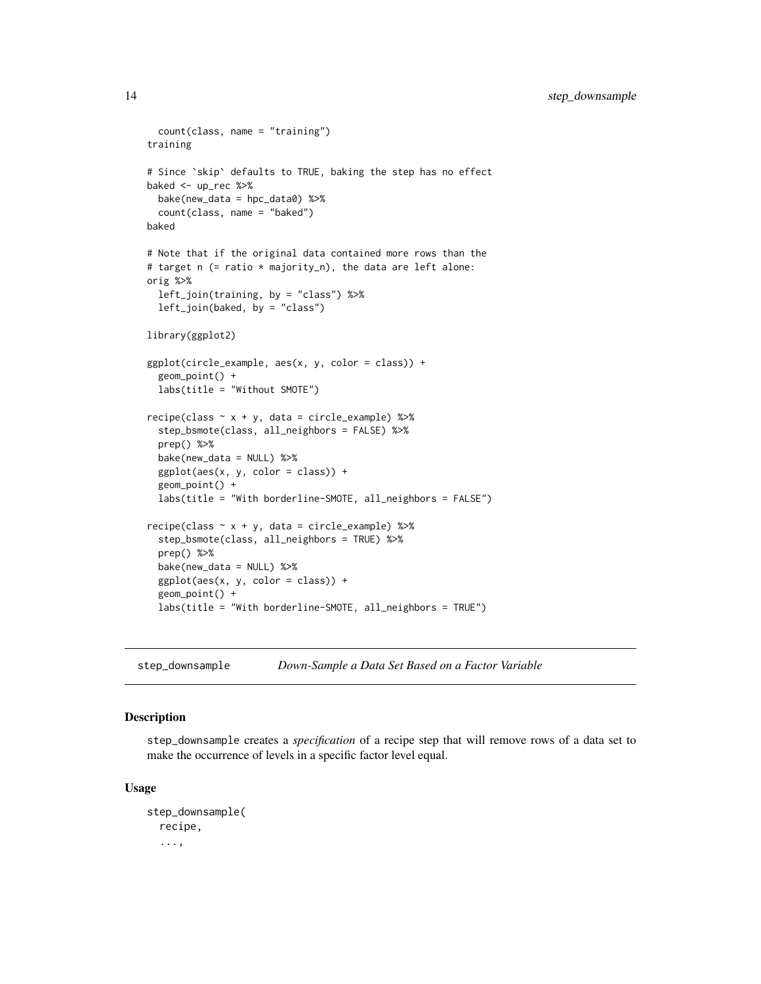```
count(class, name = "training")
training
# Since `skip` defaults to TRUE, baking the step has no effect
baked <- up_rec %>%
  bake(new_data = hpc_data0) %>%
  count(class, name = "baked")
baked
# Note that if the original data contained more rows than the
# target n (= ratio * majority_n), the data are left alone:
orig %>%
  left_join(training, by = "class") %>%
  left_join(baked, by = "class")
library(ggplot2)
ggplot(circle_example, aes(x, y, color = class)) +
  geom_point() +
  labs(title = "Without SMOTE")
recipe(class ~ x + y, data = circle_example) %step_bsmote(class, all_neighbors = FALSE) %>%
  prep() %>%
  bake(new_data = NULL) %>%
  ggplot(aes(x, y, color = class)) +geom_point() +
  labs(title = "With borderline-SMOTE, all_neighbors = FALSE")
recipe(class ~ x + y, data = circle\_example) %>%
  step_bsmote(class, all_neighbors = TRUE) %>%
  prep() %>%
  bake(new_data = NULL) %>%
  ggplot(aes(x, y, color = class)) +
  geom_point() +
  labs(title = "With borderline-SMOTE, all_neighbors = TRUE")
```
<span id="page-13-1"></span>step\_downsample *Down-Sample a Data Set Based on a Factor Variable*

# Description

step\_downsample creates a *specification* of a recipe step that will remove rows of a data set to make the occurrence of levels in a specific factor level equal.

#### Usage

```
step_downsample(
  recipe,
  ...,
```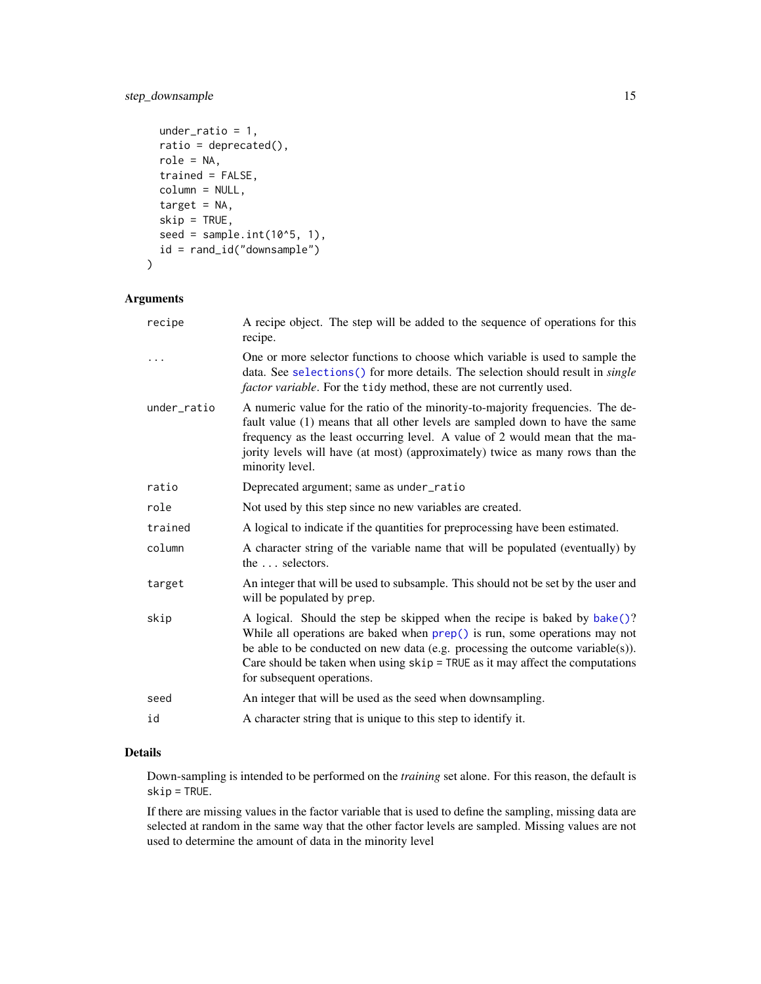# <span id="page-14-0"></span>step\_downsample 15

```
under_ratio = 1,
 ratio = deprecated(),
 role = NA,
 trained = FALSE,
  column = NULL,
  target = NA,skip = TRUE,
 seed = sample.int(10^5, 1),
 id = rand_id("downsample")
)
```
#### Arguments

| recipe      | A recipe object. The step will be added to the sequence of operations for this<br>recipe.                                                                                                                                                                                                                                                                  |
|-------------|------------------------------------------------------------------------------------------------------------------------------------------------------------------------------------------------------------------------------------------------------------------------------------------------------------------------------------------------------------|
|             | One or more selector functions to choose which variable is used to sample the<br>data. See selections() for more details. The selection should result in <i>single</i><br><i>factor variable.</i> For the tidy method, these are not currently used.                                                                                                       |
| under_ratio | A numeric value for the ratio of the minority-to-majority frequencies. The de-<br>fault value (1) means that all other levels are sampled down to have the same<br>frequency as the least occurring level. A value of 2 would mean that the ma-<br>jority levels will have (at most) (approximately) twice as many rows than the<br>minority level.        |
| ratio       | Deprecated argument; same as under_ratio                                                                                                                                                                                                                                                                                                                   |
| role        | Not used by this step since no new variables are created.                                                                                                                                                                                                                                                                                                  |
| trained     | A logical to indicate if the quantities for preprocessing have been estimated.                                                                                                                                                                                                                                                                             |
| column      | A character string of the variable name that will be populated (eventually) by<br>the  selectors.                                                                                                                                                                                                                                                          |
| target      | An integer that will be used to subsample. This should not be set by the user and<br>will be populated by prep.                                                                                                                                                                                                                                            |
| skip        | A logical. Should the step be skipped when the recipe is baked by bake()?<br>While all operations are baked when prep() is run, some operations may not<br>be able to be conducted on new data (e.g. processing the outcome variable(s)).<br>Care should be taken when using $skip =$ TRUE as it may affect the computations<br>for subsequent operations. |
| seed        | An integer that will be used as the seed when downsampling.                                                                                                                                                                                                                                                                                                |
| id          | A character string that is unique to this step to identify it.                                                                                                                                                                                                                                                                                             |

# Details

Down-sampling is intended to be performed on the *training* set alone. For this reason, the default is skip = TRUE.

If there are missing values in the factor variable that is used to define the sampling, missing data are selected at random in the same way that the other factor levels are sampled. Missing values are not used to determine the amount of data in the minority level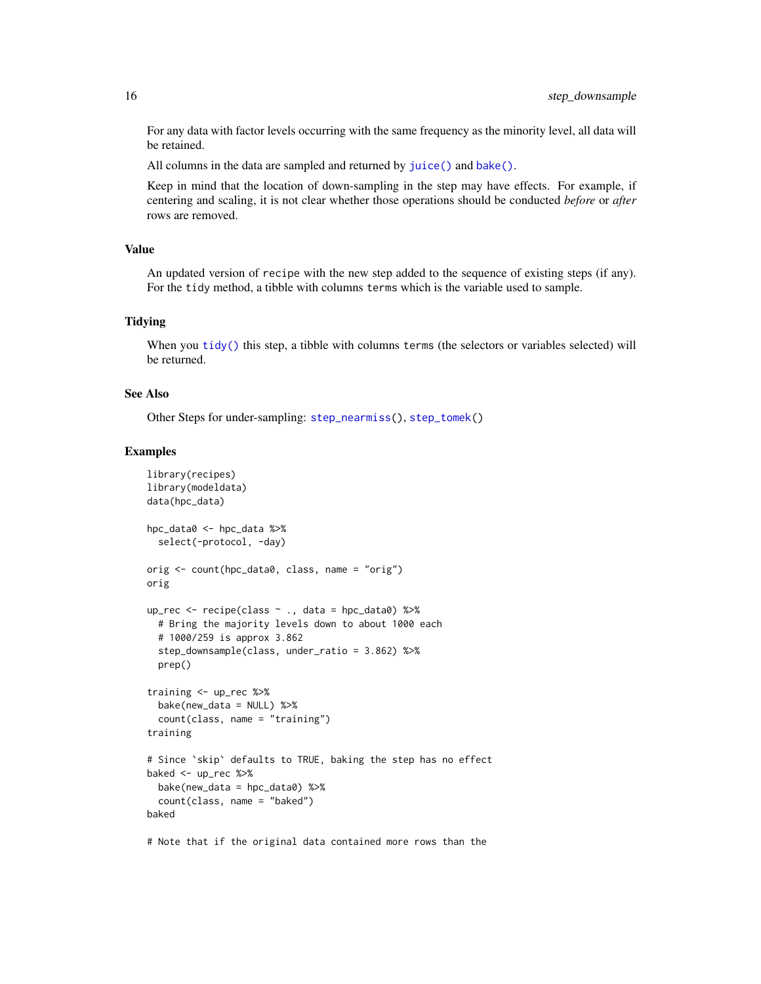For any data with factor levels occurring with the same frequency as the minority level, all data will be retained.

All columns in the data are sampled and returned by [juice\(\)](#page-0-0) and [bake\(\)](#page-0-0).

Keep in mind that the location of down-sampling in the step may have effects. For example, if centering and scaling, it is not clear whether those operations should be conducted *before* or *after* rows are removed.

#### Value

An updated version of recipe with the new step added to the sequence of existing steps (if any). For the tidy method, a tibble with columns terms which is the variable used to sample.

#### **Tidying**

When you [tidy\(\)](#page-32-1) this step, a tibble with columns terms (the selectors or variables selected) will be returned.

#### See Also

Other Steps for under-sampling: [step\\_nearmiss\(](#page-16-1)), [step\\_tomek\(](#page-27-1))

#### Examples

```
library(recipes)
library(modeldata)
data(hpc_data)
hpc_data0 <- hpc_data %>%
  select(-protocol, -day)
orig <- count(hpc_data0, class, name = "orig")
orig
up_rec <- recipe(class ~ ., data = hpc_data0) %>%
  # Bring the majority levels down to about 1000 each
  # 1000/259 is approx 3.862
  step_downsample(class, under_ratio = 3.862) %>%
  prep()
training <- up_rec %>%
  bake(new_data = NULL) %>%
  count(class, name = "training")
training
# Since `skip` defaults to TRUE, baking the step has no effect
baked <- up_rec %>%
  bake(new_data = hpc_data0) %>%
  count(class, name = "baked")
baked
```
# Note that if the original data contained more rows than the

<span id="page-15-0"></span>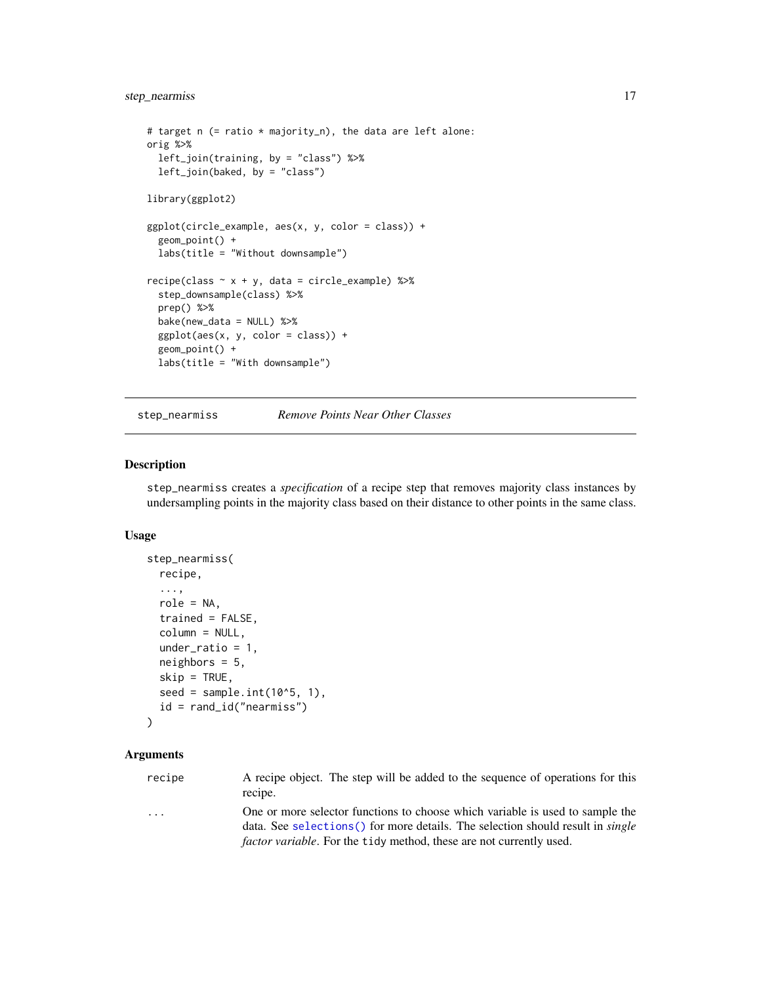```
# target n (= ratio * majority_n), the data are left alone:
orig %>%
  left_join(training, by = "class") %>%
  left_join(baked, by = "class")
library(ggplot2)
ggplot(circle\_example, aes(x, y, color = class)) +geom_point() +
  labs(title = "Without downsample")
recipe(class ~ x + y, data = circle_example) %step_downsample(class) %>%
  prep() %>%
  bake(new_data = NULL) %>%
  ggplot(aes(x, y, color = class)) +
  geom_point() +
  labs(title = "With downsample")
```
<span id="page-16-1"></span>step\_nearmiss *Remove Points Near Other Classes*

#### Description

step\_nearmiss creates a *specification* of a recipe step that removes majority class instances by undersampling points in the majority class based on their distance to other points in the same class.

#### Usage

```
step_nearmiss(
  recipe,
  ...,
  role = NA,
  trained = FALSE,
 column = NULL,
  under_ratio = 1,
  neighbours = 5,skip = TRUE,
  seed = sample.int(10^5, 1),
  id = rand_id("nearmiss")
)
```
#### Arguments

| recipe | A recipe object. The step will be added to the sequence of operations for this |
|--------|--------------------------------------------------------------------------------|
|        | recipe.                                                                        |
|        | One or more coloctor functions to choose which verights is used to semple the  |

... One or more selector functions to choose which variable is used to sample the data. See [selections\(\)](#page-0-0) for more details. The selection should result in *single factor variable*. For the tidy method, these are not currently used.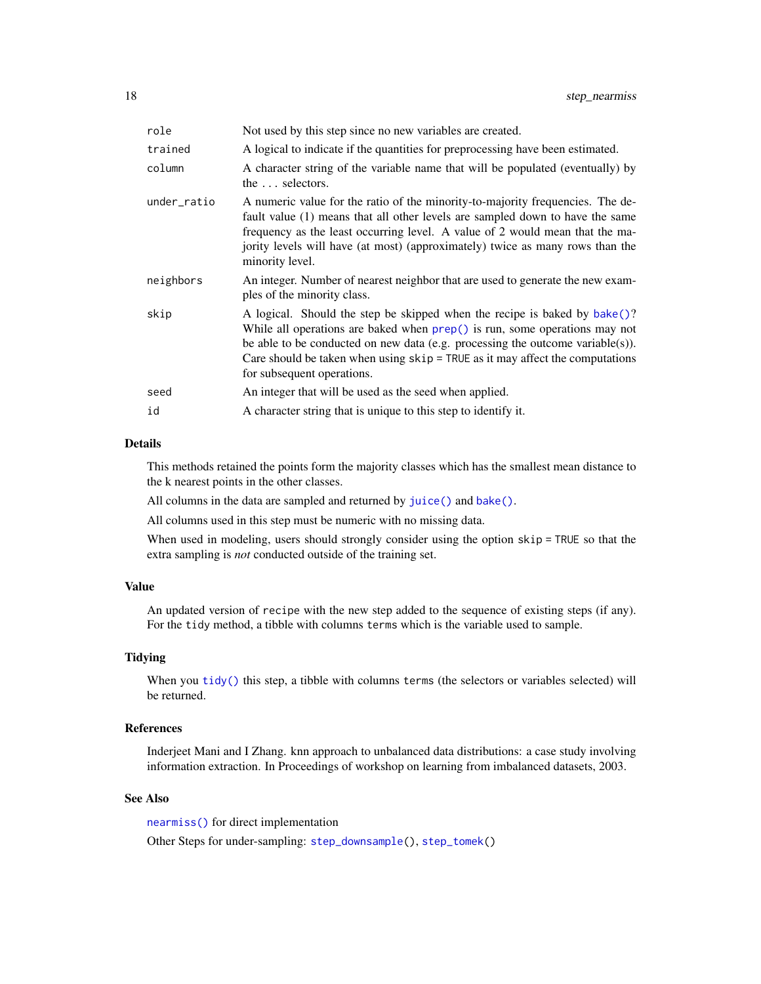<span id="page-17-0"></span>

| role        | Not used by this step since no new variables are created.                                                                                                                                                                                                                                                                                                    |
|-------------|--------------------------------------------------------------------------------------------------------------------------------------------------------------------------------------------------------------------------------------------------------------------------------------------------------------------------------------------------------------|
| trained     | A logical to indicate if the quantities for preprocessing have been estimated.                                                                                                                                                                                                                                                                               |
| column      | A character string of the variable name that will be populated (eventually) by<br>the  selectors.                                                                                                                                                                                                                                                            |
| under_ratio | A numeric value for the ratio of the minority-to-majority frequencies. The de-<br>fault value (1) means that all other levels are sampled down to have the same<br>frequency as the least occurring level. A value of 2 would mean that the ma-<br>jority levels will have (at most) (approximately) twice as many rows than the<br>minority level.          |
| neighbors   | An integer. Number of nearest neighbor that are used to generate the new exam-<br>ples of the minority class.                                                                                                                                                                                                                                                |
| skip        | A logical. Should the step be skipped when the recipe is baked by bake()?<br>While all operations are baked when $prep()$ is run, some operations may not<br>be able to be conducted on new data (e.g. processing the outcome variable(s)).<br>Care should be taken when using $skip =$ TRUE as it may affect the computations<br>for subsequent operations. |
| seed        | An integer that will be used as the seed when applied.                                                                                                                                                                                                                                                                                                       |
| id          | A character string that is unique to this step to identify it.                                                                                                                                                                                                                                                                                               |
|             |                                                                                                                                                                                                                                                                                                                                                              |

#### Details

This methods retained the points form the majority classes which has the smallest mean distance to the k nearest points in the other classes.

All columns in the data are sampled and returned by [juice\(\)](#page-0-0) and [bake\(\)](#page-0-0).

All columns used in this step must be numeric with no missing data.

When used in modeling, users should strongly consider using the option skip = TRUE so that the extra sampling is *not* conducted outside of the training set.

### Value

An updated version of recipe with the new step added to the sequence of existing steps (if any). For the tidy method, a tibble with columns terms which is the variable used to sample.

#### Tidying

When you [tidy\(\)](#page-32-1) this step, a tibble with columns terms (the selectors or variables selected) will be returned.

# References

Inderjeet Mani and I Zhang. knn approach to unbalanced data distributions: a case study involving information extraction. In Proceedings of workshop on learning from imbalanced datasets, 2003.

# See Also

[nearmiss\(\)](#page-4-1) for direct implementation

Other Steps for under-sampling: [step\\_downsample\(](#page-13-1)), [step\\_tomek\(](#page-27-1))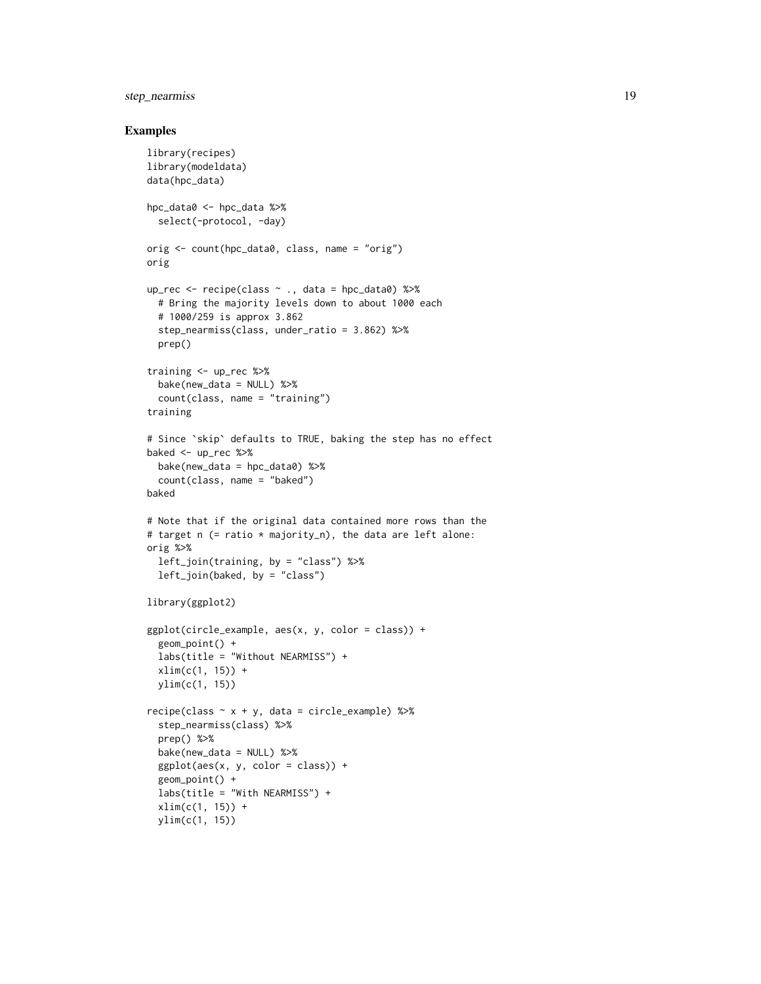# step\_nearmiss 19

```
library(recipes)
library(modeldata)
data(hpc_data)
hpc_data0 <- hpc_data %>%
  select(-protocol, -day)
orig <- count(hpc_data0, class, name = "orig")
orig
up_rec <- recipe(class ~ ., data = hpc_data0) %>%
  # Bring the majority levels down to about 1000 each
  # 1000/259 is approx 3.862
  step_nearmiss(class, under_ratio = 3.862) %>%
  prep()
training <- up_rec %>%
  bake(new_data = NULL) %>%
  count(class, name = "training")
training
# Since `skip` defaults to TRUE, baking the step has no effect
baked <- up_rec %>%
  bake(new_data = hpc_data0) %>%
  count(class, name = "baked")
baked
# Note that if the original data contained more rows than the
# target n (= ratio * majority_n), the data are left alone:
orig %>%
  left_join(training, by = "class") %>%
  left_join(baked, by = "class")
library(ggplot2)
ggplot(circle\_example, aes(x, y, color = class)) +geom_point() +
  labs(title = "Without NEARMISS") +
  xlim(c(1, 15)) +ylim(c(1, 15))
recipe(class ~ x + y, data = circle_example) %step_nearmiss(class) %>%
  prep() %>%
  bake(new_data = NULL) %>%
  ggplot(aes(x, y, color = class)) +
  geom_point() +
  labs(title = "With NEARMISS") +
  xlim(c(1, 15)) +
  ylim(c(1, 15))
```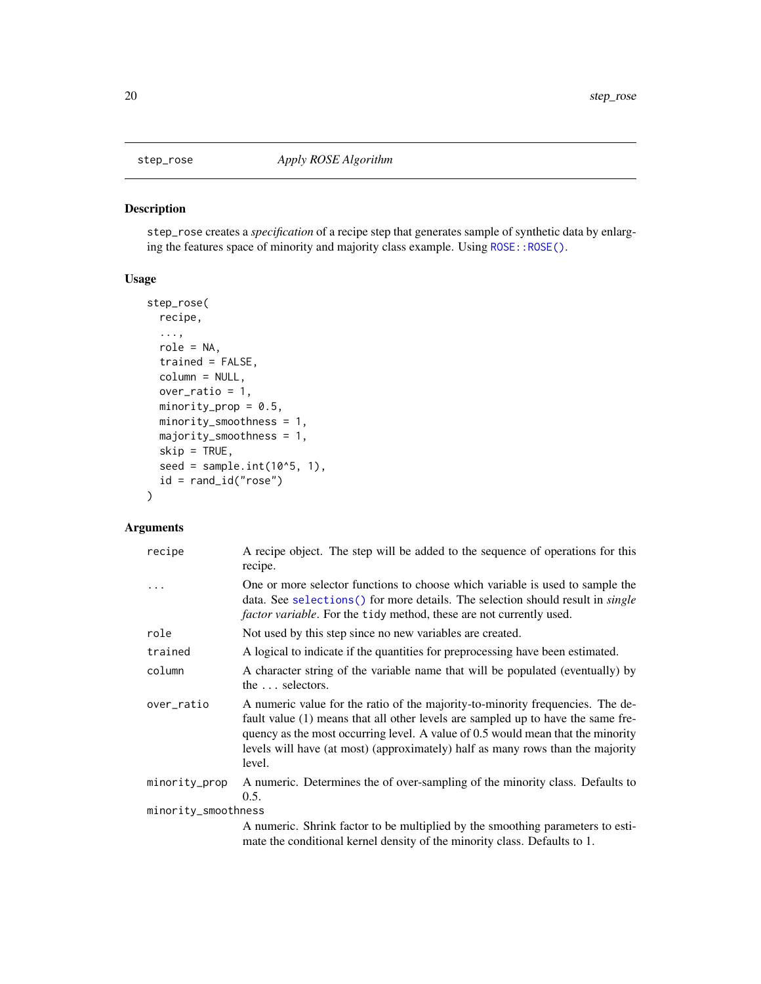<span id="page-19-1"></span><span id="page-19-0"></span>

#### Description

step\_rose creates a *specification* of a recipe step that generates sample of synthetic data by enlarg-ing the features space of minority and majority class example. Using [ROSE::ROSE\(\)](#page-0-0).

# Usage

```
step_rose(
  recipe,
  ...,
  role = NA,
  trained = FALSE,
  column = NULL,
 over_ratio = 1,
 minority_prop = 0.5,
 minority_smoothness = 1,
 majority_smoothness = 1,
  skip = TRUE,
  seed = sample.int(10^5, 1),
 id = rand_id("rose")
\mathcal{L}
```

| recipe              | A recipe object. The step will be added to the sequence of operations for this<br>recipe.                                                                                                                                                                                                                                                         |
|---------------------|---------------------------------------------------------------------------------------------------------------------------------------------------------------------------------------------------------------------------------------------------------------------------------------------------------------------------------------------------|
|                     | One or more selector functions to choose which variable is used to sample the<br>data. See selections () for more details. The selection should result in <i>single</i><br><i>factor variable</i> . For the tidy method, these are not currently used.                                                                                            |
| role                | Not used by this step since no new variables are created.                                                                                                                                                                                                                                                                                         |
| trained             | A logical to indicate if the quantities for preprocessing have been estimated.                                                                                                                                                                                                                                                                    |
| column              | A character string of the variable name that will be populated (eventually) by<br>the  selectors.                                                                                                                                                                                                                                                 |
| over_ratio          | A numeric value for the ratio of the majority-to-minority frequencies. The de-<br>fault value (1) means that all other levels are sampled up to have the same fre-<br>quency as the most occurring level. A value of 0.5 would mean that the minority<br>levels will have (at most) (approximately) half as many rows than the majority<br>level. |
| minority_prop       | A numeric. Determines the of over-sampling of the minority class. Defaults to<br>0.5.                                                                                                                                                                                                                                                             |
| minority_smoothness |                                                                                                                                                                                                                                                                                                                                                   |
|                     | A numeric. Shrink factor to be multiplied by the smoothing parameters to esti-<br>mate the conditional kernel density of the minority class. Defaults to 1.                                                                                                                                                                                       |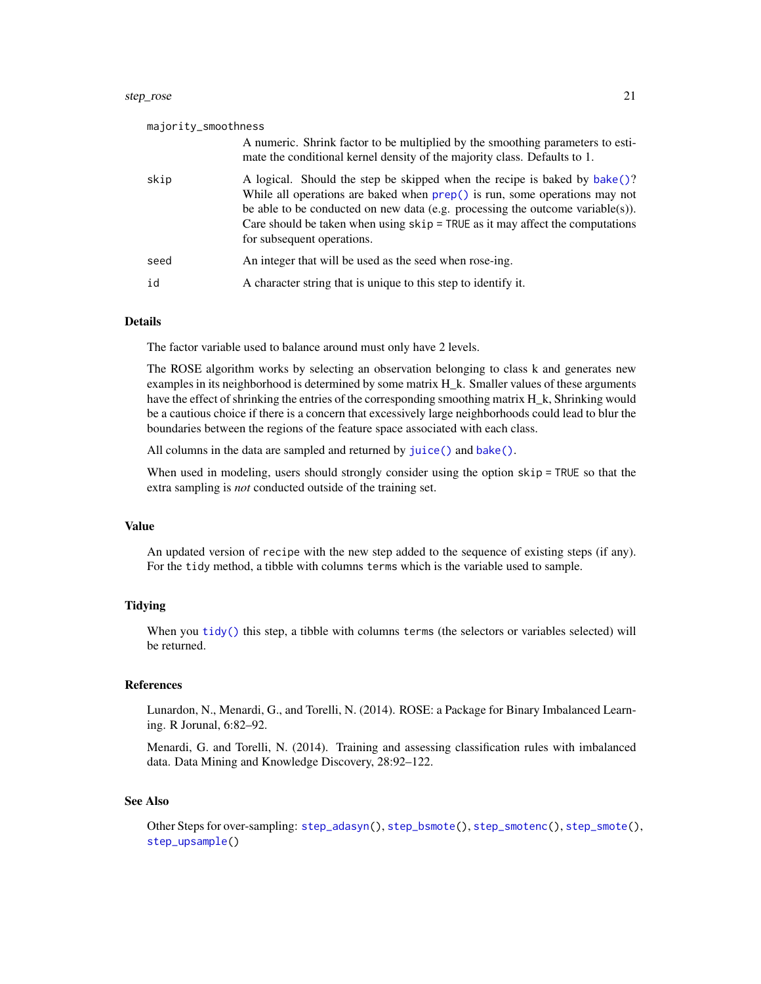<span id="page-20-0"></span>

| majority_smoothness |                                                                                                                                                                                                                                                                                                                                                              |
|---------------------|--------------------------------------------------------------------------------------------------------------------------------------------------------------------------------------------------------------------------------------------------------------------------------------------------------------------------------------------------------------|
|                     | A numeric. Shrink factor to be multiplied by the smoothing parameters to esti-<br>mate the conditional kernel density of the majority class. Defaults to 1.                                                                                                                                                                                                  |
| skip                | A logical. Should the step be skipped when the recipe is baked by bake()?<br>While all operations are baked when $prep()$ is run, some operations may not<br>be able to be conducted on new data (e.g. processing the outcome variable(s)).<br>Care should be taken when using $skip =$ TRUE as it may affect the computations<br>for subsequent operations. |
| seed                | An integer that will be used as the seed when rose-ing.                                                                                                                                                                                                                                                                                                      |
| id                  | A character string that is unique to this step to identify it.                                                                                                                                                                                                                                                                                               |

#### Details

The factor variable used to balance around must only have 2 levels.

The ROSE algorithm works by selecting an observation belonging to class k and generates new examples in its neighborhood is determined by some matrix  $H_k$ . Smaller values of these arguments have the effect of shrinking the entries of the corresponding smoothing matrix H\_k, Shrinking would be a cautious choice if there is a concern that excessively large neighborhoods could lead to blur the boundaries between the regions of the feature space associated with each class.

All columns in the data are sampled and returned by [juice\(\)](#page-0-0) and [bake\(\)](#page-0-0).

When used in modeling, users should strongly consider using the option skip = TRUE so that the extra sampling is *not* conducted outside of the training set.

# Value

An updated version of recipe with the new step added to the sequence of existing steps (if any). For the tidy method, a tibble with columns terms which is the variable used to sample.

#### **Tidying**

When you [tidy\(\)](#page-32-1) this step, a tibble with columns terms (the selectors or variables selected) will be returned.

#### References

Lunardon, N., Menardi, G., and Torelli, N. (2014). ROSE: a Package for Binary Imbalanced Learning. R Jorunal, 6:82–92.

Menardi, G. and Torelli, N. (2014). Training and assessing classification rules with imbalanced data. Data Mining and Knowledge Discovery, 28:92–122.

#### See Also

Other Steps for over-sampling: [step\\_adasyn\(](#page-8-1)), [step\\_bsmote\(](#page-10-1)), [step\\_smotenc\(](#page-24-1)), [step\\_smote\(](#page-21-1)), [step\\_upsample\(](#page-29-1))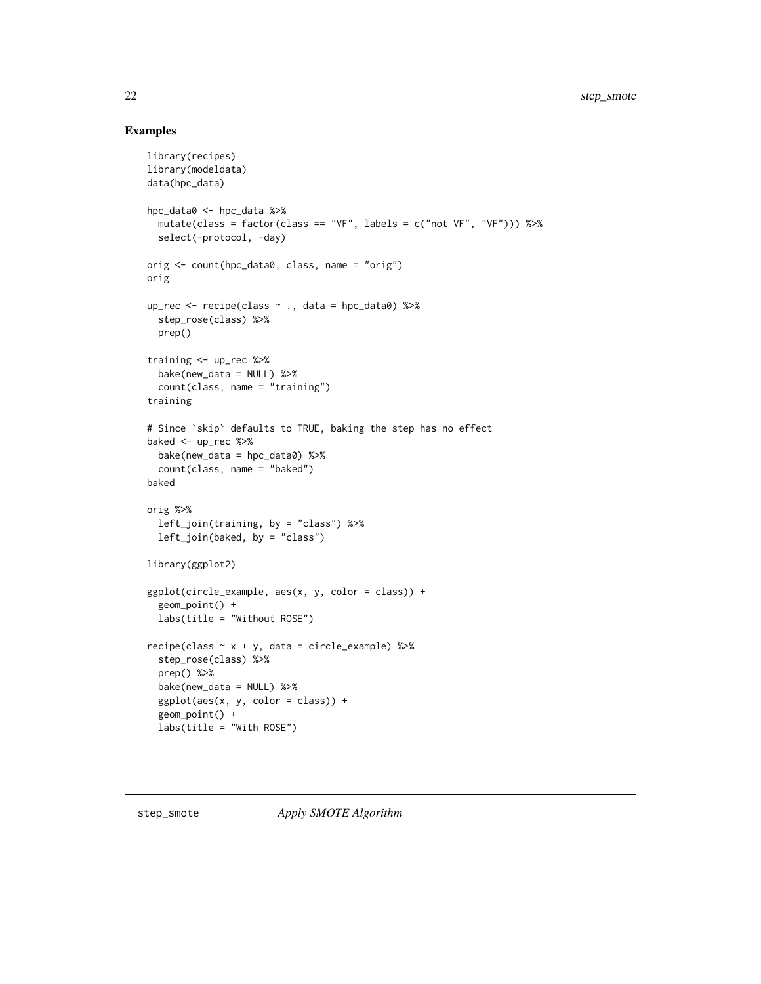```
library(recipes)
library(modeldata)
data(hpc_data)
hpc_data0 <- hpc_data %>%
  mutate(class = factor(class == "VF", labels = c("not VF", "VF"))) %>%
  select(-protocol, -day)
orig <- count(hpc_data0, class, name = "orig")
orig
up_rec <- recipe(class ~ ., data = hpc_data0) %>%
  step_rose(class) %>%
  prep()
training <- up_rec %>%
  bake(new_data = NULL) %>%
  count(class, name = "training")
training
# Since `skip` defaults to TRUE, baking the step has no effect
baked <- up_rec %>%
  bake(new_data = hpc_data0) %>%
  count(class, name = "baked")
baked
orig %>%
  left_join(training, by = "class") %>%
  left_join(baked, by = "class")
library(ggplot2)
ggplot(circle_example, aes(x, y, color = class)) +
  geom_point() +
  labs(title = "Without ROSE")
recipe(class ~ x + y, data = circle_example) %>%
  step_rose(class) %>%
  prep() %>%
  bake(new_data = NULL) %>%
  ggplot(aes(x, y, color = class)) +
  geom_point() +
  labs(title = "With ROSE")
```
<span id="page-21-1"></span>

<span id="page-21-0"></span>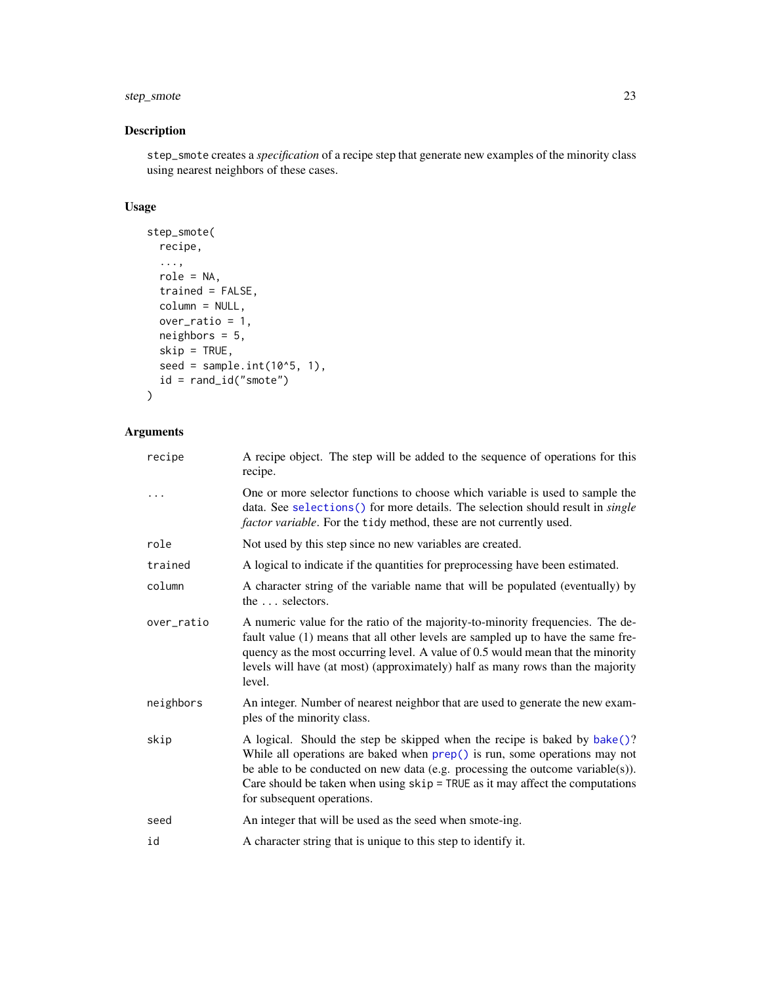# <span id="page-22-0"></span>step\_smote 23

# Description

step\_smote creates a *specification* of a recipe step that generate new examples of the minority class using nearest neighbors of these cases.

# Usage

```
step_smote(
 recipe,
  ...,
 role = NA,
 trained = FALSE,
 column = NULL,
 over_ratio = 1,
 neighbors = 5,
 skip = TRUE,
 seed = sample.int(10^5, 1),
 id = rand_id("smote")
)
```

| recipe     | A recipe object. The step will be added to the sequence of operations for this<br>recipe.                                                                                                                                                                                                                                                                  |
|------------|------------------------------------------------------------------------------------------------------------------------------------------------------------------------------------------------------------------------------------------------------------------------------------------------------------------------------------------------------------|
| .          | One or more selector functions to choose which variable is used to sample the<br>data. See selections() for more details. The selection should result in <i>single</i><br>factor variable. For the tidy method, these are not currently used.                                                                                                              |
| role       | Not used by this step since no new variables are created.                                                                                                                                                                                                                                                                                                  |
| trained    | A logical to indicate if the quantities for preprocessing have been estimated.                                                                                                                                                                                                                                                                             |
| column     | A character string of the variable name that will be populated (eventually) by<br>the  selectors.                                                                                                                                                                                                                                                          |
| over_ratio | A numeric value for the ratio of the majority-to-minority frequencies. The de-<br>fault value (1) means that all other levels are sampled up to have the same fre-<br>quency as the most occurring level. A value of 0.5 would mean that the minority<br>levels will have (at most) (approximately) half as many rows than the majority<br>level.          |
| neighbors  | An integer. Number of nearest neighbor that are used to generate the new exam-<br>ples of the minority class.                                                                                                                                                                                                                                              |
| skip       | A logical. Should the step be skipped when the recipe is baked by bake()?<br>While all operations are baked when prep() is run, some operations may not<br>be able to be conducted on new data (e.g. processing the outcome variable(s)).<br>Care should be taken when using $skip =$ TRUE as it may affect the computations<br>for subsequent operations. |
| seed       | An integer that will be used as the seed when smote-ing.                                                                                                                                                                                                                                                                                                   |
| id         | A character string that is unique to this step to identify it.                                                                                                                                                                                                                                                                                             |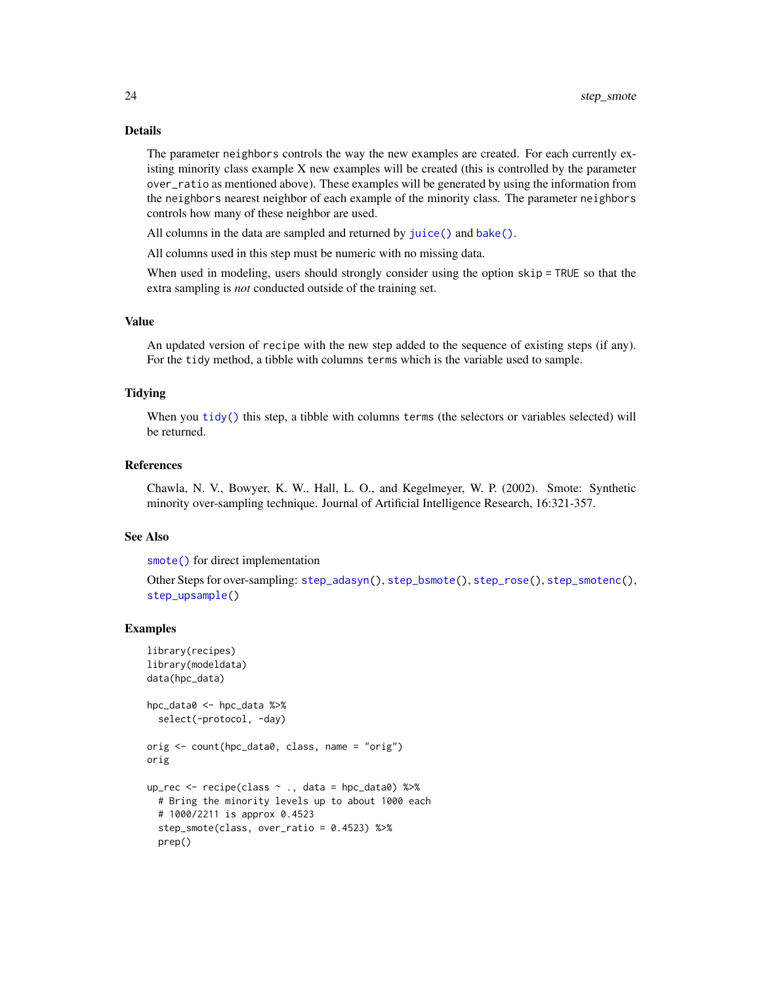#### Details

The parameter neighbors controls the way the new examples are created. For each currently existing minority class example X new examples will be created (this is controlled by the parameter over\_ratio as mentioned above). These examples will be generated by using the information from the neighbors nearest neighbor of each example of the minority class. The parameter neighbors controls how many of these neighbor are used.

All columns in the data are sampled and returned by [juice\(\)](#page-0-0) and [bake\(\)](#page-0-0).

All columns used in this step must be numeric with no missing data.

When used in modeling, users should strongly consider using the option skip = TRUE so that the extra sampling is *not* conducted outside of the training set.

# Value

An updated version of recipe with the new step added to the sequence of existing steps (if any). For the tidy method, a tibble with columns terms which is the variable used to sample.

#### **Tidving**

When you [tidy\(\)](#page-32-1) this step, a tibble with columns terms (the selectors or variables selected) will be returned.

#### References

Chawla, N. V., Bowyer, K. W., Hall, L. O., and Kegelmeyer, W. P. (2002). Smote: Synthetic minority over-sampling technique. Journal of Artificial Intelligence Research, 16:321-357.

#### See Also

[smote\(\)](#page-5-1) for direct implementation

Other Steps for over-sampling: [step\\_adasyn\(](#page-8-1)), [step\\_bsmote\(](#page-10-1)), [step\\_rose\(](#page-19-1)), [step\\_smotenc\(](#page-24-1)), [step\\_upsample\(](#page-29-1))

```
library(recipes)
library(modeldata)
data(hpc_data)
hpc_data0 <- hpc_data %>%
 select(-protocol, -day)
orig <- count(hpc_data0, class, name = "orig")
orig
up_rec <- recipe(class ~ ., data = hpc_data0) %>%
 # Bring the minority levels up to about 1000 each
 # 1000/2211 is approx 0.4523
 step_smote(class, over_ratio = 0.4523) %>%
 prep()
```
<span id="page-23-0"></span>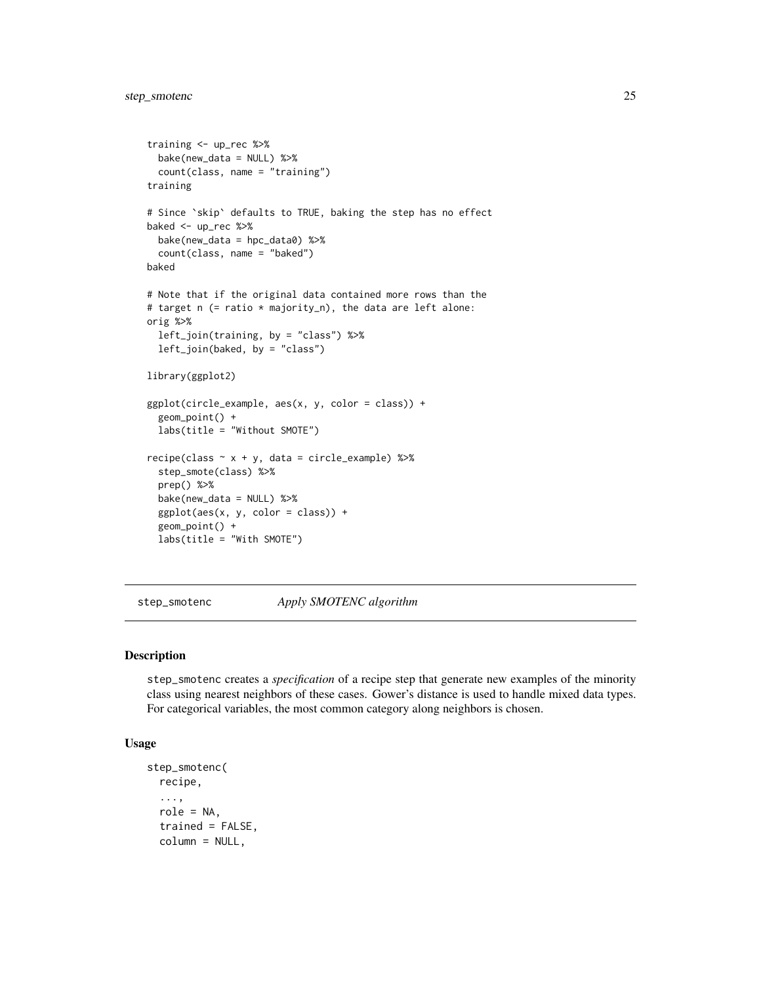```
training <- up_rec %>%
  bake(new_data = NULL) %>%
  count(class, name = "training")
training
# Since `skip` defaults to TRUE, baking the step has no effect
baked <- up_rec %>%
  bake(new_data = hpc_data0) %>%
  count(class, name = "baked")
baked
# Note that if the original data contained more rows than the
# target n (= ratio * majority_n), the data are left alone:
orig %>%
  left_join(training, by = "class") %>%
  left_join(baked, by = "class")
library(ggplot2)
ggplot(circle_example, aes(x, y, color = class)) +
  geom_point() +
  labs(title = "Without SMOTE")
recipe(class ~ x + y, data = circle\_example) %>%
  step_smote(class) %>%
  prep() %>%
  bake(new_data = NULL) %>%
  ggplot(aes(x, y, color = class)) +
  geom_point() +
  labs(title = "With SMOTE")
```

```
step_smotenc Apply SMOTENC algorithm
```
#### Description

step\_smotenc creates a *specification* of a recipe step that generate new examples of the minority class using nearest neighbors of these cases. Gower's distance is used to handle mixed data types. For categorical variables, the most common category along neighbors is chosen.

#### Usage

```
step_smotenc(
 recipe,
  ...,
  role = NA,
  trained = FALSE,
  column = NULL,
```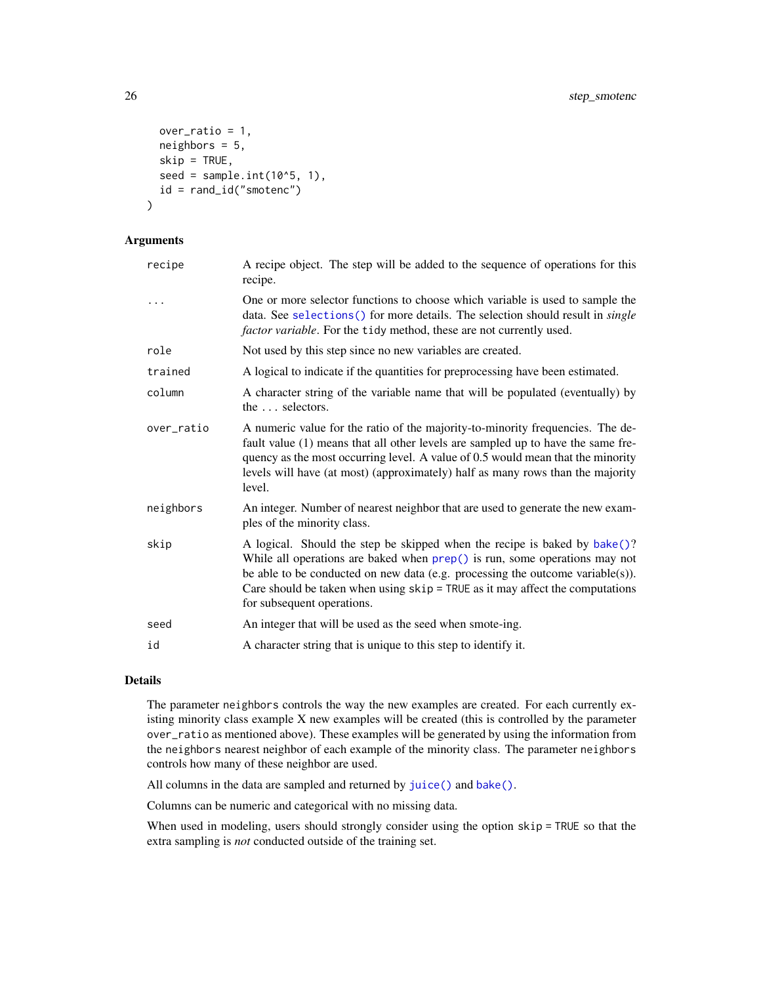```
over_ratio = 1,
  neighbors = 5,
  skip = TRUE,
  seed = sample.int(10<sup>0</sup>5, 1),id = rand_id("smotenc")
\mathcal{L}
```
# Arguments

| recipe     | A recipe object. The step will be added to the sequence of operations for this<br>recipe.                                                                                                                                                                                                                                                                      |
|------------|----------------------------------------------------------------------------------------------------------------------------------------------------------------------------------------------------------------------------------------------------------------------------------------------------------------------------------------------------------------|
|            | One or more selector functions to choose which variable is used to sample the<br>data. See selections () for more details. The selection should result in <i>single</i><br><i>factor variable</i> . For the tidy method, these are not currently used.                                                                                                         |
| role       | Not used by this step since no new variables are created.                                                                                                                                                                                                                                                                                                      |
| trained    | A logical to indicate if the quantities for preprocessing have been estimated.                                                                                                                                                                                                                                                                                 |
| column     | A character string of the variable name that will be populated (eventually) by<br>the $\ldots$ selectors.                                                                                                                                                                                                                                                      |
| over_ratio | A numeric value for the ratio of the majority-to-minority frequencies. The de-<br>fault value (1) means that all other levels are sampled up to have the same fre-<br>quency as the most occurring level. A value of 0.5 would mean that the minority<br>levels will have (at most) (approximately) half as many rows than the majority<br>level.              |
| neighbors  | An integer. Number of nearest neighbor that are used to generate the new exam-<br>ples of the minority class.                                                                                                                                                                                                                                                  |
| skip       | A logical. Should the step be skipped when the recipe is baked by bake()?<br>While all operations are baked when prep() is run, some operations may not<br>be able to be conducted on new data (e.g. processing the outcome variable $(s)$ ).<br>Care should be taken when using $skip =$ TRUE as it may affect the computations<br>for subsequent operations. |
| seed       | An integer that will be used as the seed when smote-ing.                                                                                                                                                                                                                                                                                                       |
| id         | A character string that is unique to this step to identify it.                                                                                                                                                                                                                                                                                                 |

# Details

The parameter neighbors controls the way the new examples are created. For each currently existing minority class example X new examples will be created (this is controlled by the parameter over\_ratio as mentioned above). These examples will be generated by using the information from the neighbors nearest neighbor of each example of the minority class. The parameter neighbors controls how many of these neighbor are used.

All columns in the data are sampled and returned by [juice\(\)](#page-0-0) and [bake\(\)](#page-0-0).

Columns can be numeric and categorical with no missing data.

When used in modeling, users should strongly consider using the option skip = TRUE so that the extra sampling is *not* conducted outside of the training set.

<span id="page-25-0"></span>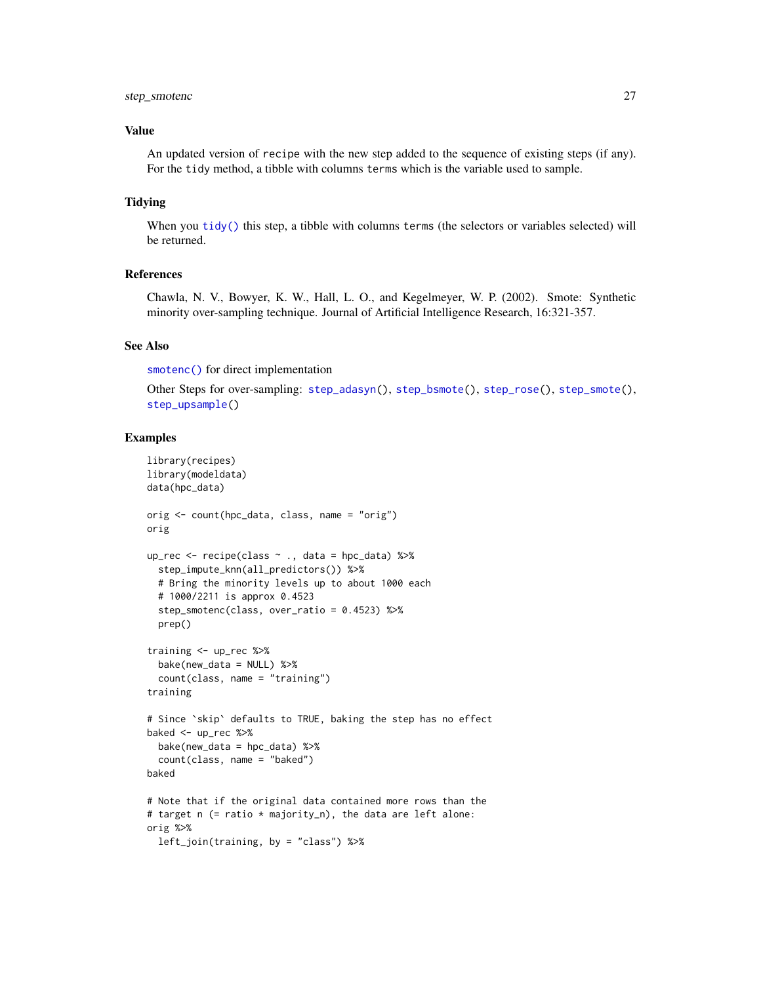# <span id="page-26-0"></span>step\_smotenc 27

## Value

An updated version of recipe with the new step added to the sequence of existing steps (if any). For the tidy method, a tibble with columns terms which is the variable used to sample.

#### Tidying

When you [tidy\(\)](#page-32-1) this step, a tibble with columns terms (the selectors or variables selected) will be returned.

#### References

Chawla, N. V., Bowyer, K. W., Hall, L. O., and Kegelmeyer, W. P. (2002). Smote: Synthetic minority over-sampling technique. Journal of Artificial Intelligence Research, 16:321-357.

#### See Also

[smotenc\(\)](#page-6-1) for direct implementation

```
Other Steps for over-sampling: step_adasyn(), step_bsmote(), step_rose(), step_smote(),
step_upsample()
```

```
library(recipes)
library(modeldata)
data(hpc_data)
orig <- count(hpc_data, class, name = "orig")
orig
up_rec <- recipe(class ~ ., data = hpc_data) %>%
  step_impute_knn(all_predictors()) %>%
  # Bring the minority levels up to about 1000 each
  # 1000/2211 is approx 0.4523
  step_smotenc(class, over_ratio = 0.4523) %>%
  prep()
training <- up_rec %>%
  bake(new_data = NULL) %>%
  count(class, name = "training")
training
# Since `skip` defaults to TRUE, baking the step has no effect
baked <- up_rec %>%
  bake(new_data = hpc_data) %>%
  count(class, name = "baked")
baked
# Note that if the original data contained more rows than the
# target n (= ratio * majority_n), the data are left alone:
orig %>%
 left_join(training, by = "class") %>%
```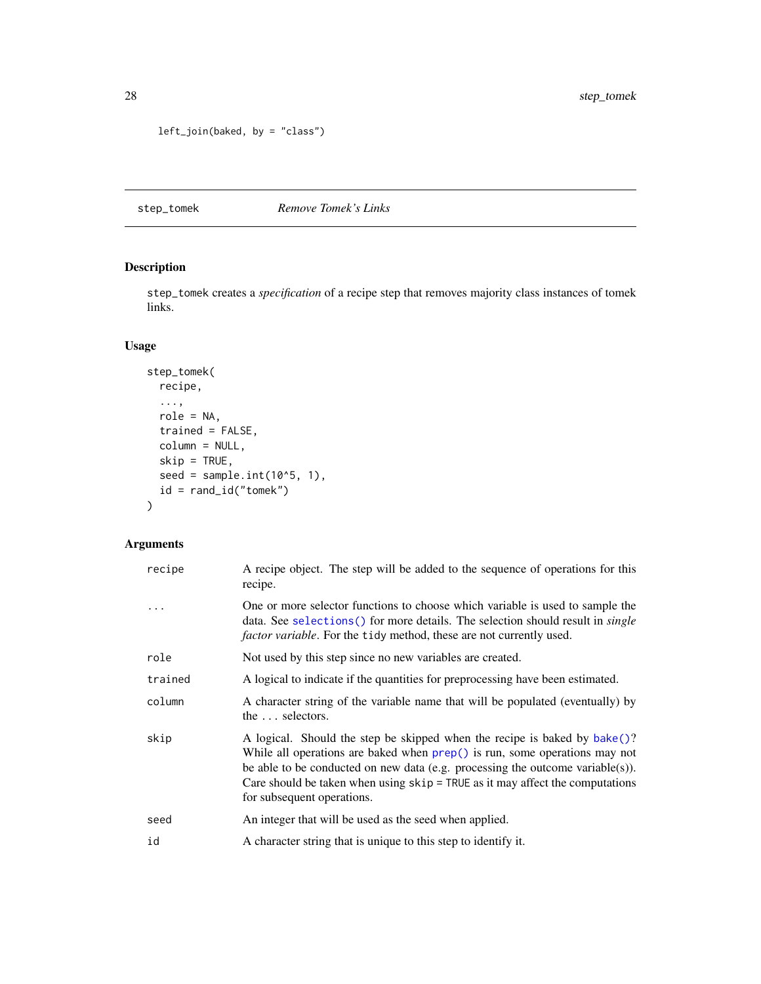```
left_join(baked, by = "class")
```
<span id="page-27-1"></span>step\_tomek *Remove Tomek's Links*

# Description

step\_tomek creates a *specification* of a recipe step that removes majority class instances of tomek links.

# Usage

```
step_tomek(
 recipe,
  ...,
 role = NA,
 trained = FALSE,
 column = NULL,
 skip = TRUE,
 seed = sample.int(10^5, 1),
 id = rand_id("tomek")
)
```

| recipe  | A recipe object. The step will be added to the sequence of operations for this<br>recipe.                                                                                                                                                                                                                                                                    |
|---------|--------------------------------------------------------------------------------------------------------------------------------------------------------------------------------------------------------------------------------------------------------------------------------------------------------------------------------------------------------------|
| $\cdot$ | One or more selector functions to choose which variable is used to sample the<br>data. See selections () for more details. The selection should result in <i>single</i><br><i>factor variable</i> . For the tidy method, these are not currently used.                                                                                                       |
| role    | Not used by this step since no new variables are created.                                                                                                                                                                                                                                                                                                    |
| trained | A logical to indicate if the quantities for preprocessing have been estimated.                                                                                                                                                                                                                                                                               |
| column  | A character string of the variable name that will be populated (eventually) by<br>the $\ldots$ selectors.                                                                                                                                                                                                                                                    |
| skip    | A logical. Should the step be skipped when the recipe is baked by bake()?<br>While all operations are baked when $prep()$ is run, some operations may not<br>be able to be conducted on new data (e.g. processing the outcome variable(s)).<br>Care should be taken when using $skip =$ TRUE as it may affect the computations<br>for subsequent operations. |
| seed    | An integer that will be used as the seed when applied.                                                                                                                                                                                                                                                                                                       |
| id      | A character string that is unique to this step to identify it.                                                                                                                                                                                                                                                                                               |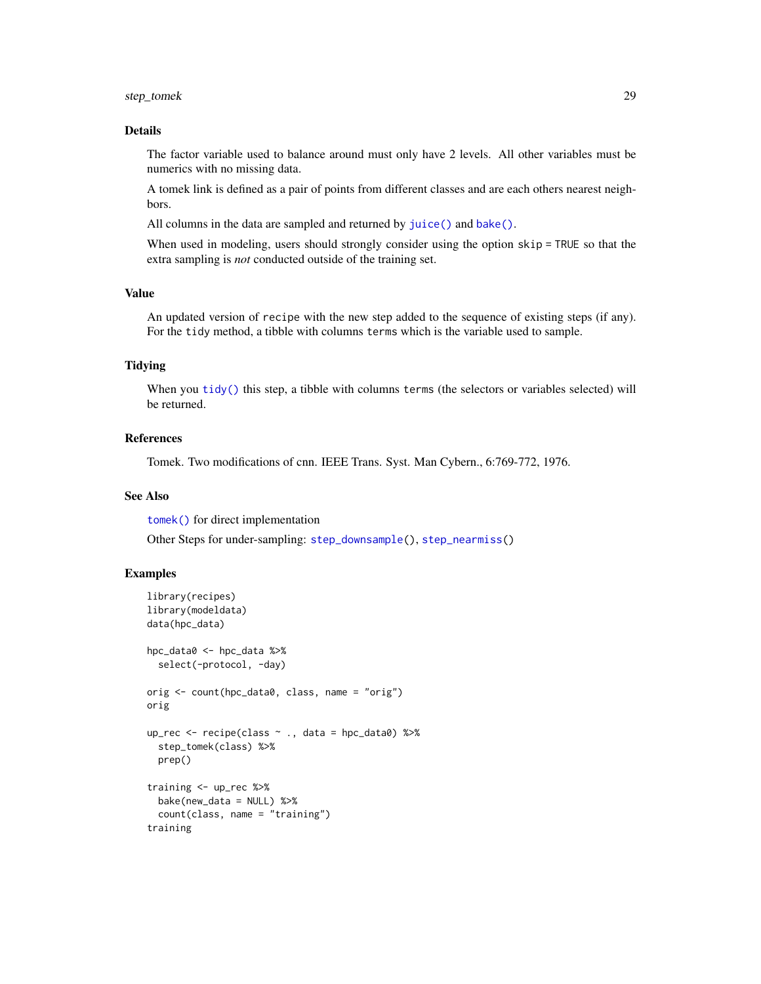# <span id="page-28-0"></span>step\_tomek 29

# Details

The factor variable used to balance around must only have 2 levels. All other variables must be numerics with no missing data.

A tomek link is defined as a pair of points from different classes and are each others nearest neighbors.

All columns in the data are sampled and returned by [juice\(\)](#page-0-0) and [bake\(\)](#page-0-0).

When used in modeling, users should strongly consider using the option skip = TRUE so that the extra sampling is *not* conducted outside of the training set.

# Value

An updated version of recipe with the new step added to the sequence of existing steps (if any). For the tidy method, a tibble with columns terms which is the variable used to sample.

#### Tidying

When you [tidy\(\)](#page-32-1) this step, a tibble with columns terms (the selectors or variables selected) will be returned.

#### References

Tomek. Two modifications of cnn. IEEE Trans. Syst. Man Cybern., 6:769-772, 1976.

#### See Also

[tomek\(\)](#page-33-1) for direct implementation

Other Steps for under-sampling: [step\\_downsample\(](#page-13-1)), [step\\_nearmiss\(](#page-16-1))

```
library(recipes)
library(modeldata)
data(hpc_data)
hpc_data0 <- hpc_data %>%
  select(-protocol, -day)
orig <- count(hpc_data0, class, name = "orig")
orig
up_rec <- recipe(class ~ ., data = hpc_data0) %>%
  step_tomek(class) %>%
  prep()
training <- up_rec %>%
  bake(new_data = NULL) %>%
  count(class, name = "training")
training
```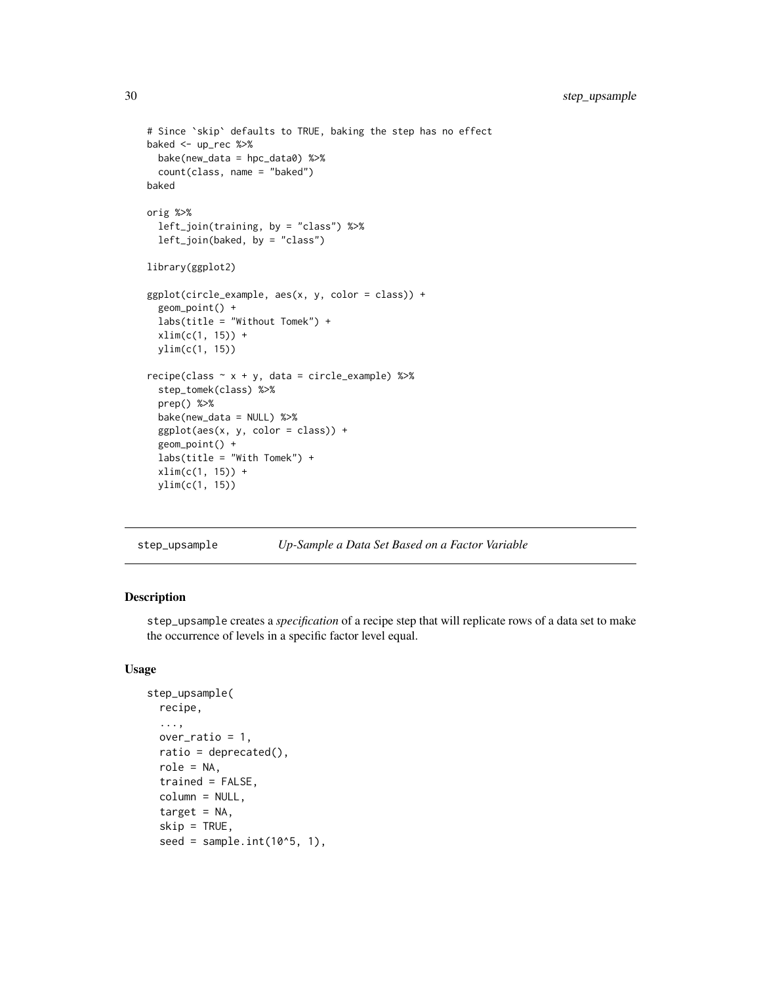```
# Since `skip` defaults to TRUE, baking the step has no effect
baked <- up_rec %>%
  bake(new_data = hpc_data0) %>%
  count(class, name = "baked")
baked
orig %>%
  left_join(training, by = "class") %>%
  left_join(baked, by = "class")
library(ggplot2)
ggplot(circle\_example, aes(x, y, color = class)) +geom_point() +
  labs(title = "Without Tomek") +
  xlim(c(1, 15)) +
  ylim(c(1, 15))
recipe(class ~ x + y, data = circle_example) %step_tomek(class) %>%
  prep() %>%
  bake(new_data = NULL) %>%
  ggplot(aes(x, y, color = class)) +
  geom_point() +
  labs(title = "With Tomek") +
  xlim(c(1, 15)) +
  ylim(c(1, 15))
```
<span id="page-29-1"></span>

| step_upsample |  | Up-Sample a Data Set Based on a Factor Variable |  |  |  |  |  |  |
|---------------|--|-------------------------------------------------|--|--|--|--|--|--|
|---------------|--|-------------------------------------------------|--|--|--|--|--|--|

#### Description

step\_upsample creates a *specification* of a recipe step that will replicate rows of a data set to make the occurrence of levels in a specific factor level equal.

# Usage

```
step_upsample(
  recipe,
  ...,
  over_ratio = 1,
  ratio = deprecated(),
  role = NA,
  trained = FALSE,
  column = NULL,
  target = NA,
  skip = TRUE,
  seed = sample.int(10^5, 1),
```
<span id="page-29-0"></span>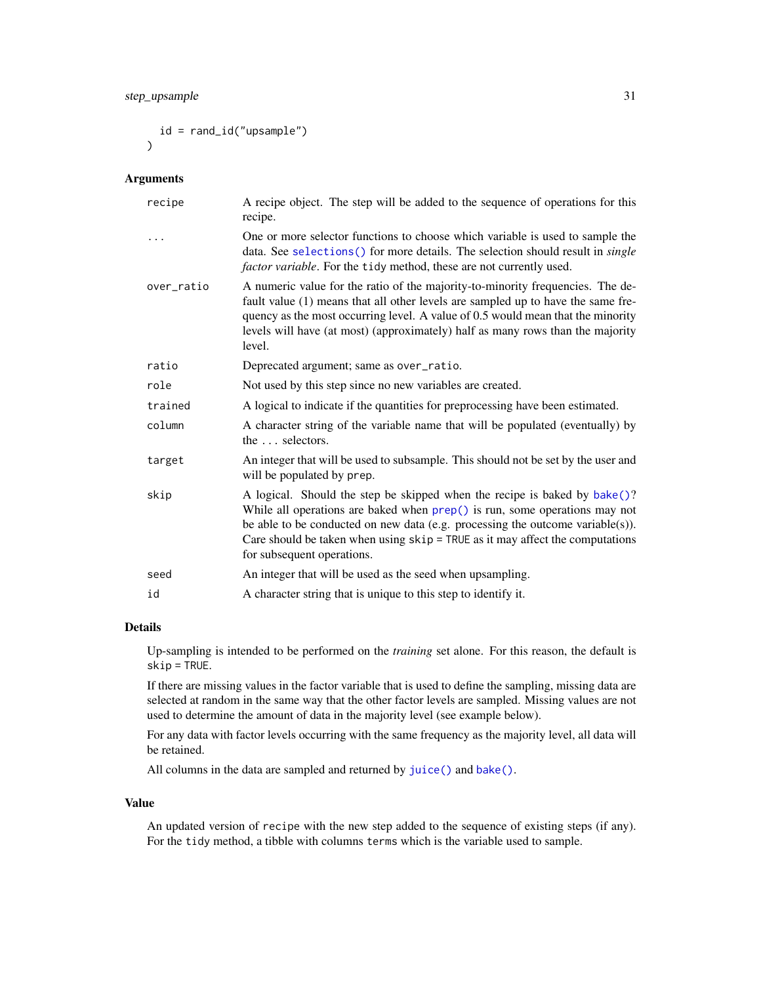<span id="page-30-0"></span>id = rand\_id("upsample")  $\lambda$ 

# Arguments

| A recipe object. The step will be added to the sequence of operations for this<br>recipe.                                                                                                                                                                                                                                                                    |
|--------------------------------------------------------------------------------------------------------------------------------------------------------------------------------------------------------------------------------------------------------------------------------------------------------------------------------------------------------------|
| One or more selector functions to choose which variable is used to sample the<br>data. See selections() for more details. The selection should result in <i>single</i><br>factor variable. For the tidy method, these are not currently used.                                                                                                                |
| A numeric value for the ratio of the majority-to-minority frequencies. The de-<br>fault value (1) means that all other levels are sampled up to have the same fre-<br>quency as the most occurring level. A value of 0.5 would mean that the minority<br>levels will have (at most) (approximately) half as many rows than the majority<br>level.            |
| Deprecated argument; same as over_ratio.                                                                                                                                                                                                                                                                                                                     |
| Not used by this step since no new variables are created.                                                                                                                                                                                                                                                                                                    |
| A logical to indicate if the quantities for preprocessing have been estimated.                                                                                                                                                                                                                                                                               |
| A character string of the variable name that will be populated (eventually) by<br>the  selectors.                                                                                                                                                                                                                                                            |
| An integer that will be used to subsample. This should not be set by the user and<br>will be populated by prep.                                                                                                                                                                                                                                              |
| A logical. Should the step be skipped when the recipe is baked by bake()?<br>While all operations are baked when $prep()$ is run, some operations may not<br>be able to be conducted on new data (e.g. processing the outcome variable(s)).<br>Care should be taken when using $skip =$ TRUE as it may affect the computations<br>for subsequent operations. |
| An integer that will be used as the seed when upsampling.                                                                                                                                                                                                                                                                                                    |
| A character string that is unique to this step to identify it.                                                                                                                                                                                                                                                                                               |
|                                                                                                                                                                                                                                                                                                                                                              |

# Details

Up-sampling is intended to be performed on the *training* set alone. For this reason, the default is skip = TRUE.

If there are missing values in the factor variable that is used to define the sampling, missing data are selected at random in the same way that the other factor levels are sampled. Missing values are not used to determine the amount of data in the majority level (see example below).

For any data with factor levels occurring with the same frequency as the majority level, all data will be retained.

All columns in the data are sampled and returned by [juice\(\)](#page-0-0) and [bake\(\)](#page-0-0).

#### Value

An updated version of recipe with the new step added to the sequence of existing steps (if any). For the tidy method, a tibble with columns terms which is the variable used to sample.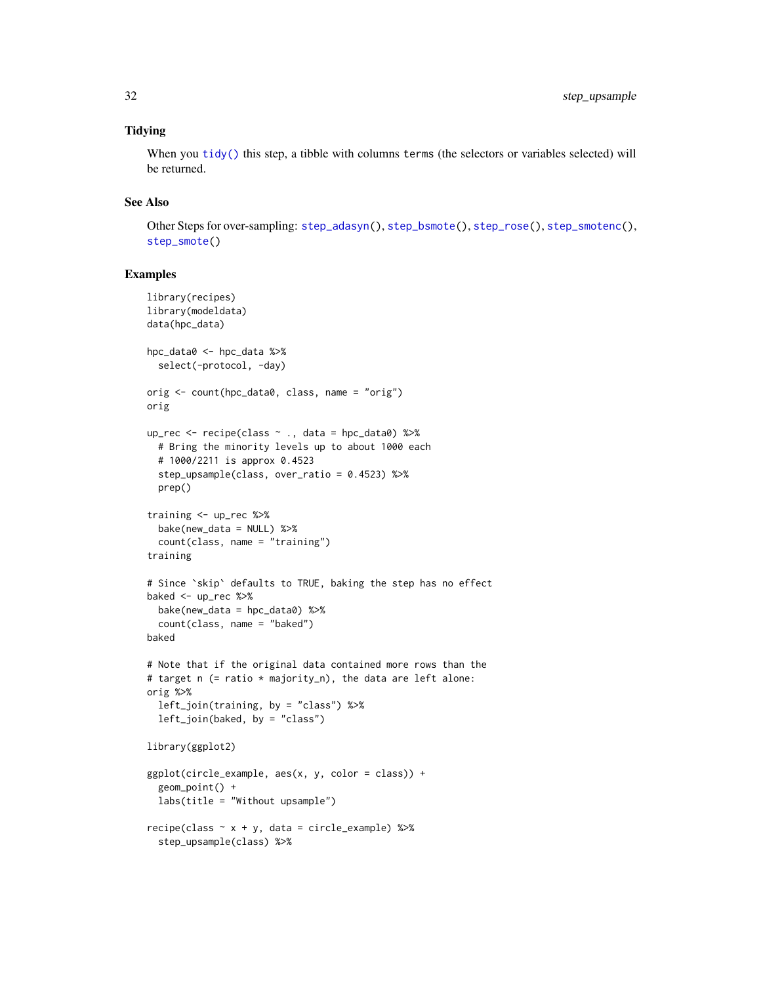# <span id="page-31-0"></span>**Tidying**

When you [tidy\(\)](#page-32-1) this step, a tibble with columns terms (the selectors or variables selected) will be returned.

#### See Also

Other Steps for over-sampling: [step\\_adasyn\(](#page-8-1)), [step\\_bsmote\(](#page-10-1)), [step\\_rose\(](#page-19-1)), [step\\_smotenc\(](#page-24-1)), [step\\_smote\(](#page-21-1))

```
library(recipes)
library(modeldata)
data(hpc_data)
hpc_data0 <- hpc_data %>%
  select(-protocol, -day)
orig <- count(hpc_data0, class, name = "orig")
orig
up_rec <- recipe(class ~ ., data = hpc_data0) %>%
  # Bring the minority levels up to about 1000 each
  # 1000/2211 is approx 0.4523
  step_upsample(class, over_ratio = 0.4523) %>%
  prep()
training <- up_rec %>%
  bake(new_data = NULL) %>%
  count(class, name = "training")
training
# Since `skip` defaults to TRUE, baking the step has no effect
baked <- up_rec %>%
  bake(new_data = hpc_data0) %>%
  count(class, name = "baked")
baked
# Note that if the original data contained more rows than the
# target n (= ratio * majority_n), the data are left alone:
orig %>%
  left_join(training, by = "class") %>%
  left_join(baked, by = "class")
library(ggplot2)
ggplot(circle_example, aes(x, y, color = class)) +
  geom_point() +
  labs(title = "Without upsample")
recipe(class ~ x + y, data = circle_example) %step_upsample(class) %>%
```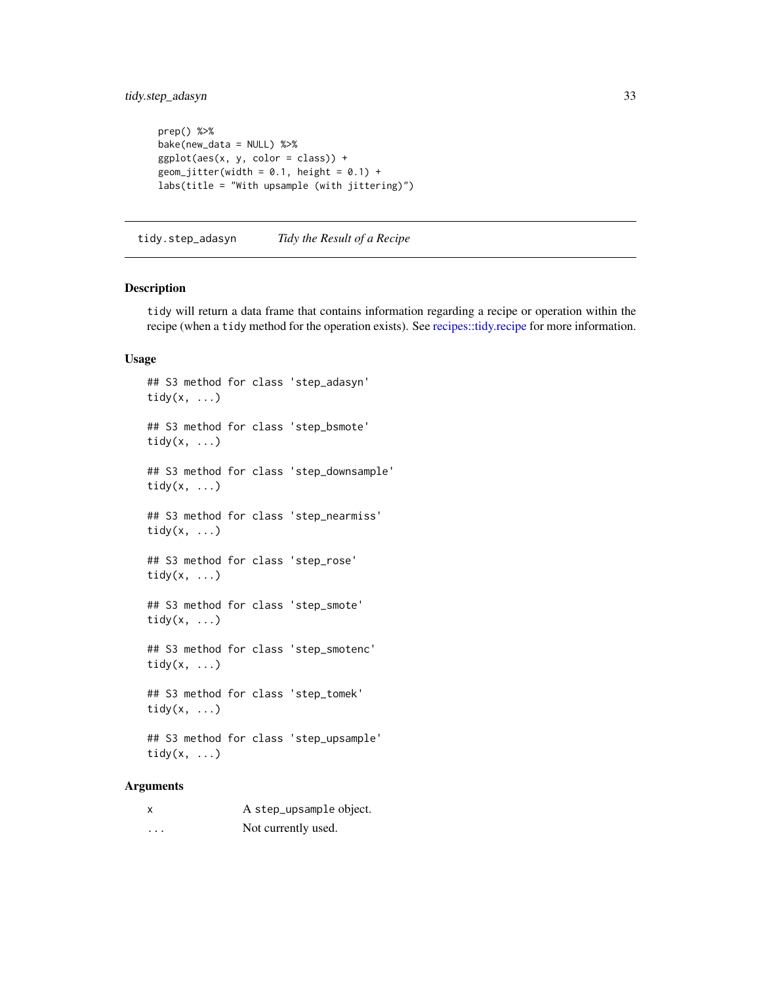# <span id="page-32-0"></span>tidy.step\_adasyn 33

```
prep() %>%
bake(new_data = NULL) %>%
ggplot(aes(x, y, color = class)) +
geom_jitter(width = 0.1, height = 0.1) +
labs(title = "With upsample (with jittering)")
```
tidy.step\_adasyn *Tidy the Result of a Recipe*

#### <span id="page-32-1"></span>Description

tidy will return a data frame that contains information regarding a recipe or operation within the recipe (when a tidy method for the operation exists). See [recipes::tidy.recipe](#page-0-0) for more information.

#### Usage

## S3 method for class 'step\_adasyn' tidy $(x, \ldots)$ ## S3 method for class 'step\_bsmote' tidy $(x, \ldots)$ ## S3 method for class 'step\_downsample' tidy $(x, \ldots)$ ## S3 method for class 'step\_nearmiss' tidy $(x, \ldots)$ ## S3 method for class 'step\_rose' tidy $(x, \ldots)$ ## S3 method for class 'step\_smote' tidy $(x, \ldots)$ ## S3 method for class 'step\_smotenc' tidy $(x, \ldots)$ ## S3 method for class 'step\_tomek' tidy(x, ...) ## S3 method for class 'step\_upsample' tidy $(x, \ldots)$ 

|          | A step_upsample object. |
|----------|-------------------------|
| $\cdots$ | Not currently used.     |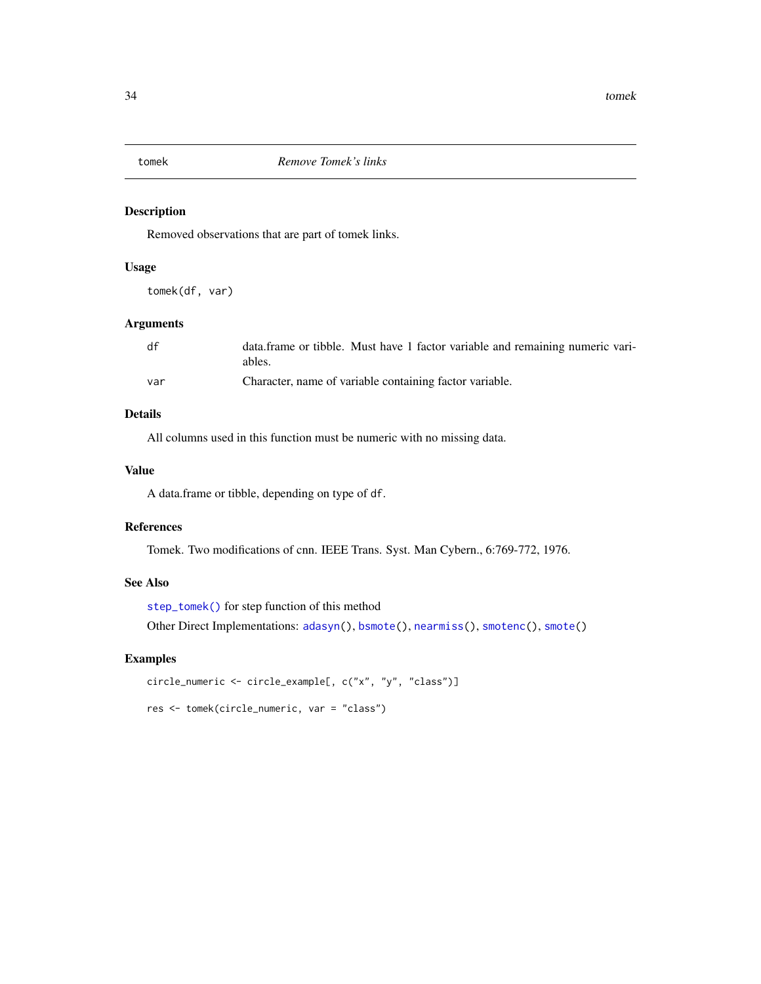<span id="page-33-1"></span><span id="page-33-0"></span>

# Description

Removed observations that are part of tomek links.

# Usage

tomek(df, var)

#### Arguments

| df  | data.frame or tibble. Must have 1 factor variable and remaining numeric vari-<br>ables. |
|-----|-----------------------------------------------------------------------------------------|
| var | Character, name of variable containing factor variable.                                 |

# Details

All columns used in this function must be numeric with no missing data.

# Value

A data.frame or tibble, depending on type of df.

# References

Tomek. Two modifications of cnn. IEEE Trans. Syst. Man Cybern., 6:769-772, 1976.

#### See Also

[step\\_tomek\(\)](#page-27-1) for step function of this method Other Direct Implementations: [adasyn\(](#page-1-1)), [bsmote\(](#page-2-1)), [nearmiss\(](#page-4-1)), [smotenc\(](#page-6-1)), [smote\(](#page-5-1))

```
circle_numeric <- circle_example[, c("x", "y", "class")]
res <- tomek(circle_numeric, var = "class")
```